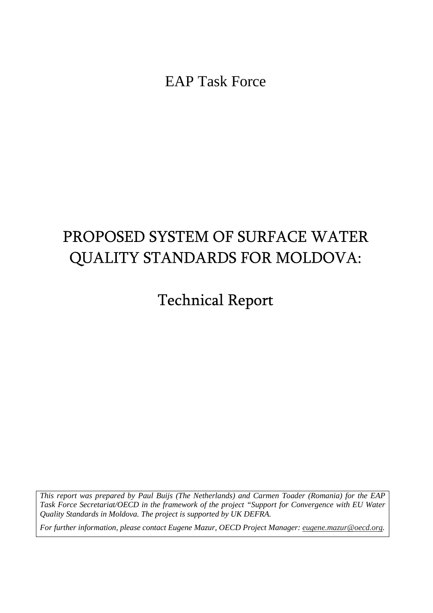EAP Task Force

# PROPOSED SYSTEM OF SURFACE WATER QUALITY STANDARDS FOR MOLDOVA:

Technical Report

*This report was prepared by Paul Buijs (The Netherlands) and Carmen Toader (Romania) for the EAP Task Force Secretariat/OECD in the framework of the project "Support for Convergence with EU Water Quality Standards in Moldova. The project is supported by UK DEFRA.* 

*For further information, please contact Eugene Mazur, OECD Project Manager: eugene.mazur@oecd.org.*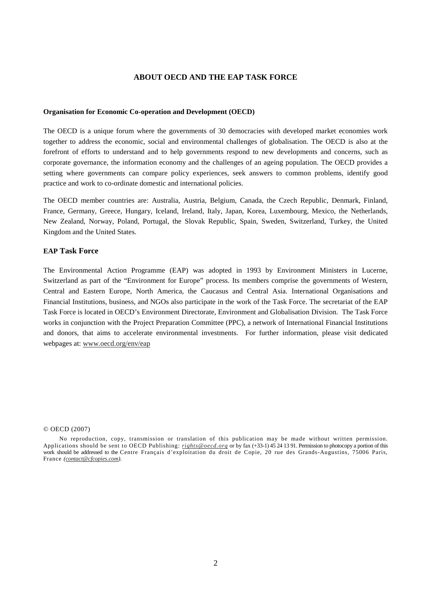## **ABOUT OECD AND THE EAP TASK FORCE**

#### **Organisation for Economic Co-operation and Development (OECD)**

The OECD is a unique forum where the governments of 30 democracies with developed market economies work together to address the economic, social and environmental challenges of globalisation. The OECD is also at the forefront of efforts to understand and to help governments respond to new developments and concerns, such as corporate governance, the information economy and the challenges of an ageing population. The OECD provides a setting where governments can compare policy experiences, seek answers to common problems, identify good practice and work to co-ordinate domestic and international policies.

The OECD member countries are: Australia, Austria, Belgium, Canada, the Czech Republic, Denmark, Finland, France, Germany, Greece, Hungary, Iceland, Ireland, Italy, Japan, Korea, Luxembourg, Mexico, the Netherlands, New Zealand, Norway, Poland, Portugal, the Slovak Republic, Spain, Sweden, Switzerland, Turkey, the United Kingdom and the United States.

#### **EAP Task Force**

The Environmental Action Programme (EAP) was adopted in 1993 by Environment Ministers in Lucerne, Switzerland as part of the "Environment for Europe" process. Its members comprise the governments of Western, Central and Eastern Europe, North America, the Caucasus and Central Asia. International Organisations and Financial Institutions, business, and NGOs also participate in the work of the Task Force. The secretariat of the EAP Task Force is located in OECD's Environment Directorate, Environment and Globalisation Division. The Task Force works in conjunction with the Project Preparation Committee (PPC), a network of International Financial Institutions and donors, that aims to accelerate environmental investments. For further information, please visit dedicated webpages at: www.oecd.org/env/eap

#### © OECD (2007)

No reproduction, copy, transmission or translation of this publication may be made without written permission. Applications should be sent to OECD Publishing: *rights@oecd.org* or by fax (+33-1) 45 24 13 91. Permission to photocopy a portion of this work should be addressed to the Centre Français d'exploitation du droit de Copie, 20 rue des Grands-Augustins, 75006 Paris, France *(contact@cfcopies.com).*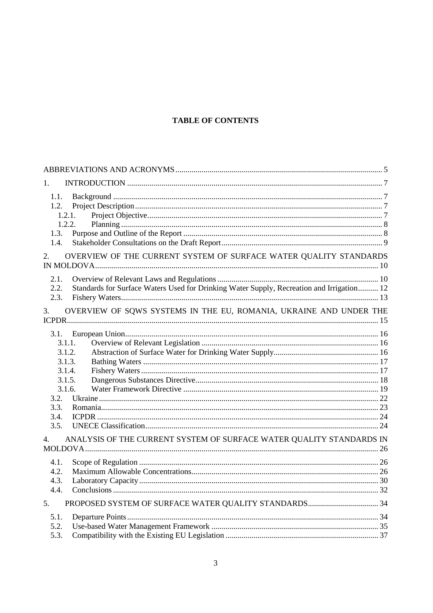# **TABLE OF CONTENTS**

| 1.                                                                                                                |  |
|-------------------------------------------------------------------------------------------------------------------|--|
| 1.1.<br>1.2.<br>1.2.1.<br>1.2.2.<br>1.3.<br>1.4.                                                                  |  |
| OVERVIEW OF THE CURRENT SYSTEM OF SURFACE WATER QUALITY STANDARDS<br>2.                                           |  |
| 2.1.<br>Standards for Surface Waters Used for Drinking Water Supply, Recreation and Irrigation 12<br>2.2.<br>2.3. |  |
| OVERVIEW OF SQWS SYSTEMS IN THE EU, ROMANIA, UKRAINE AND UNDER THE<br>3.                                          |  |
| 3.1.<br>3.1.1.<br>3.1.2.<br>3.1.3.<br>3.1.4.<br>3.1.5.<br>3.1.6.<br>3.2.<br>3.3.<br>3.4.<br>3.5.                  |  |
| ANALYSIS OF THE CURRENT SYSTEM OF SURFACE WATER QUALITY STANDARDS IN<br>4.                                        |  |
| 4.1.<br>4.2.<br>4.3.<br>4.4.                                                                                      |  |
| 5.                                                                                                                |  |
| 5.1.<br>5.2.<br>5.3.                                                                                              |  |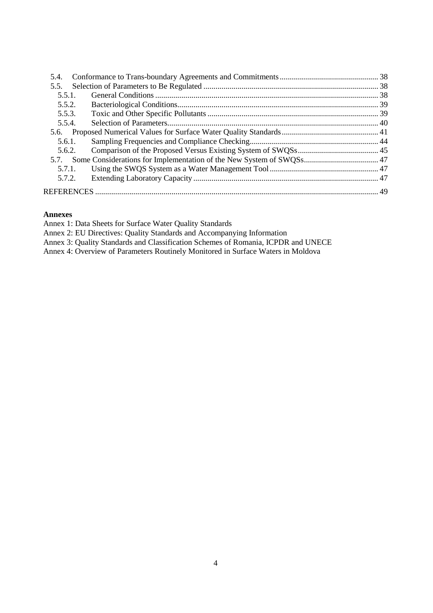| 5.4.   |  |
|--------|--|
| 5.5.   |  |
| 5.5.1. |  |
| 5.5.2. |  |
| 5.5.3. |  |
| 5.5.4. |  |
|        |  |
| 5.6.1. |  |
| 5.6.2. |  |
|        |  |
| 5.7.1. |  |
| 5.7.2. |  |
|        |  |
|        |  |

## **Annexes**

Annex 1: Data Sheets for Surface Water Quality Standards

Annex 2: EU Directives: Quality Standards and Accompanying Information

Annex 3: Quality Standards and Classification Schemes of Romania, ICPDR and UNECE

Annex 4: Overview of Parameters Routinely Monitored in Surface Waters in Moldova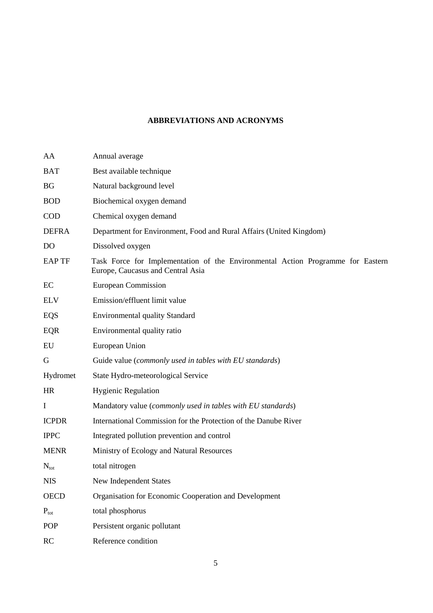# **ABBREVIATIONS AND ACRONYMS**

| AA               | Annual average                                                                                                       |
|------------------|----------------------------------------------------------------------------------------------------------------------|
| <b>BAT</b>       | Best available technique                                                                                             |
| <b>BG</b>        | Natural background level                                                                                             |
| <b>BOD</b>       | Biochemical oxygen demand                                                                                            |
| <b>COD</b>       | Chemical oxygen demand                                                                                               |
| <b>DEFRA</b>     | Department for Environment, Food and Rural Affairs (United Kingdom)                                                  |
| D <sub>O</sub>   | Dissolved oxygen                                                                                                     |
| <b>EAPTF</b>     | Task Force for Implementation of the Environmental Action Programme for Eastern<br>Europe, Caucasus and Central Asia |
| EC               | <b>European Commission</b>                                                                                           |
| <b>ELV</b>       | Emission/effluent limit value                                                                                        |
| EQS              | <b>Environmental quality Standard</b>                                                                                |
| EQR              | Environmental quality ratio                                                                                          |
| EU               | European Union                                                                                                       |
| G                | Guide value (commonly used in tables with EU standards)                                                              |
| Hydromet         | State Hydro-meteorological Service                                                                                   |
| <b>HR</b>        | <b>Hygienic Regulation</b>                                                                                           |
| $\bf{I}$         | Mandatory value (commonly used in tables with EU standards)                                                          |
| <b>ICPDR</b>     | International Commission for the Protection of the Danube River                                                      |
| <b>IPPC</b>      | Integrated pollution prevention and control                                                                          |
| <b>MENR</b>      | Ministry of Ecology and Natural Resources                                                                            |
| $N_{\text{tot}}$ | total nitrogen                                                                                                       |
| <b>NIS</b>       | New Independent States                                                                                               |
| <b>OECD</b>      | Organisation for Economic Cooperation and Development                                                                |
| $P_{\text{tot}}$ | total phosphorus                                                                                                     |
| POP              | Persistent organic pollutant                                                                                         |
| RC               | Reference condition                                                                                                  |
|                  |                                                                                                                      |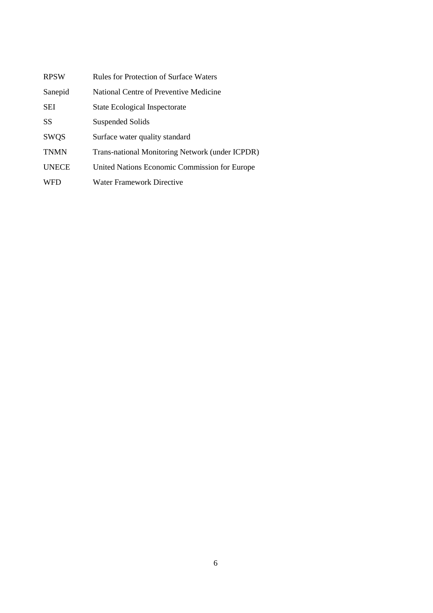| <b>RPSW</b>  | Rules for Protection of Surface Waters          |
|--------------|-------------------------------------------------|
| Sanepid      | National Centre of Preventive Medicine          |
| <b>SEI</b>   | <b>State Ecological Inspectorate</b>            |
| <b>SS</b>    | Suspended Solids                                |
| <b>SWQS</b>  | Surface water quality standard                  |
| <b>TNMN</b>  | Trans-national Monitoring Network (under ICPDR) |
| <b>UNECE</b> | United Nations Economic Commission for Europe   |
| <b>WFD</b>   | <b>Water Framework Directive</b>                |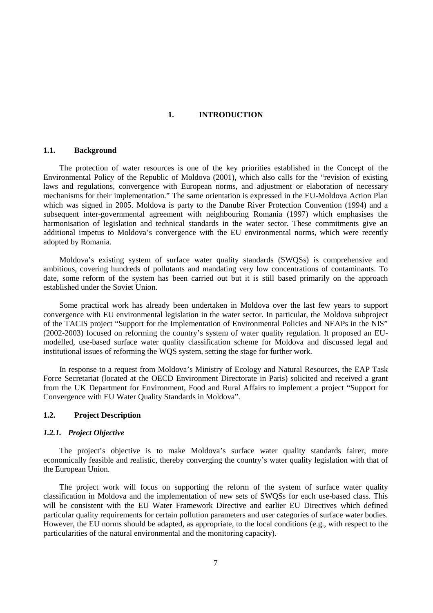#### **1. INTRODUCTION**

## **1.1. Background**

The protection of water resources is one of the key priorities established in the Concept of the Environmental Policy of the Republic of Moldova (2001), which also calls for the "revision of existing laws and regulations, convergence with European norms, and adjustment or elaboration of necessary mechanisms for their implementation." The same orientation is expressed in the EU-Moldova Action Plan which was signed in 2005. Moldova is party to the Danube River Protection Convention (1994) and a subsequent inter-governmental agreement with neighbouring Romania (1997) which emphasises the harmonisation of legislation and technical standards in the water sector. These commitments give an additional impetus to Moldova's convergence with the EU environmental norms, which were recently adopted by Romania.

Moldova's existing system of surface water quality standards (SWQSs) is comprehensive and ambitious, covering hundreds of pollutants and mandating very low concentrations of contaminants. To date, some reform of the system has been carried out but it is still based primarily on the approach established under the Soviet Union.

Some practical work has already been undertaken in Moldova over the last few years to support convergence with EU environmental legislation in the water sector. In particular, the Moldova subproject of the TACIS project "Support for the Implementation of Environmental Policies and NEAPs in the NIS" (2002-2003) focused on reforming the country's system of water quality regulation. It proposed an EUmodelled, use-based surface water quality classification scheme for Moldova and discussed legal and institutional issues of reforming the WQS system, setting the stage for further work.

In response to a request from Moldova's Ministry of Ecology and Natural Resources, the EAP Task Force Secretariat (located at the OECD Environment Directorate in Paris) solicited and received a grant from the UK Department for Environment, Food and Rural Affairs to implement a project "Support for Convergence with EU Water Quality Standards in Moldova".

#### **1.2. Project Description**

#### *1.2.1. Project Objective*

The project's objective is to make Moldova's surface water quality standards fairer, more economically feasible and realistic, thereby converging the country's water quality legislation with that of the European Union.

The project work will focus on supporting the reform of the system of surface water quality classification in Moldova and the implementation of new sets of SWQSs for each use-based class. This will be consistent with the EU Water Framework Directive and earlier EU Directives which defined particular quality requirements for certain pollution parameters and user categories of surface water bodies. However, the EU norms should be adapted, as appropriate, to the local conditions (e.g., with respect to the particularities of the natural environmental and the monitoring capacity).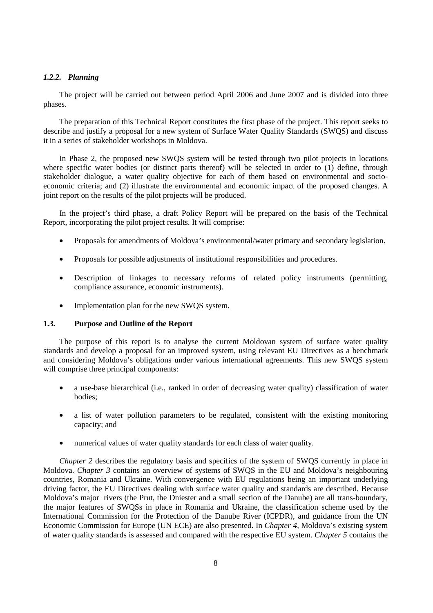## *1.2.2. Planning*

The project will be carried out between period April 2006 and June 2007 and is divided into three phases.

The preparation of this Technical Report constitutes the first phase of the project. This report seeks to describe and justify a proposal for a new system of Surface Water Quality Standards (SWQS) and discuss it in a series of stakeholder workshops in Moldova.

In Phase 2, the proposed new SWQS system will be tested through two pilot projects in locations where specific water bodies (or distinct parts thereof) will be selected in order to (1) define, through stakeholder dialogue, a water quality objective for each of them based on environmental and socioeconomic criteria; and (2) illustrate the environmental and economic impact of the proposed changes. A joint report on the results of the pilot projects will be produced.

In the project's third phase, a draft Policy Report will be prepared on the basis of the Technical Report, incorporating the pilot project results. It will comprise:

- Proposals for amendments of Moldova's environmental/water primary and secondary legislation.
- Proposals for possible adjustments of institutional responsibilities and procedures.
- Description of linkages to necessary reforms of related policy instruments (permitting, compliance assurance, economic instruments).
- Implementation plan for the new SWQS system.

# **1.3. Purpose and Outline of the Report**

The purpose of this report is to analyse the current Moldovan system of surface water quality standards and develop a proposal for an improved system, using relevant EU Directives as a benchmark and considering Moldova's obligations under various international agreements. This new SWQS system will comprise three principal components:

- a use-base hierarchical (i.e., ranked in order of decreasing water quality) classification of water bodies;
- a list of water pollution parameters to be regulated, consistent with the existing monitoring capacity; and
- numerical values of water quality standards for each class of water quality.

*Chapter 2* describes the regulatory basis and specifics of the system of SWQS currently in place in Moldova. *Chapter 3* contains an overview of systems of SWQS in the EU and Moldova's neighbouring countries, Romania and Ukraine. With convergence with EU regulations being an important underlying driving factor, the EU Directives dealing with surface water quality and standards are described. Because Moldova's major rivers (the Prut, the Dniester and a small section of the Danube) are all trans-boundary, the major features of SWQSs in place in Romania and Ukraine, the classification scheme used by the International Commission for the Protection of the Danube River (ICPDR), and guidance from the UN Economic Commission for Europe (UN ECE) are also presented. In *Chapter 4*, Moldova's existing system of water quality standards is assessed and compared with the respective EU system. *Chapter 5* contains the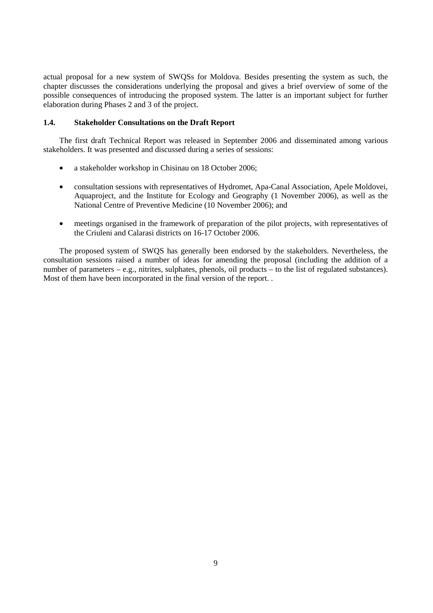actual proposal for a new system of SWQSs for Moldova. Besides presenting the system as such, the chapter discusses the considerations underlying the proposal and gives a brief overview of some of the possible consequences of introducing the proposed system. The latter is an important subject for further elaboration during Phases 2 and 3 of the project.

#### **1.4. Stakeholder Consultations on the Draft Report**

The first draft Technical Report was released in September 2006 and disseminated among various stakeholders. It was presented and discussed during a series of sessions:

- a stakeholder workshop in Chisinau on 18 October 2006;
- consultation sessions with representatives of Hydromet, Apa-Canal Association, Apele Moldovei, Aquaproject, and the Institute for Ecology and Geography (1 November 2006), as well as the National Centre of Preventive Medicine (10 November 2006); and
- meetings organised in the framework of preparation of the pilot projects, with representatives of the Criuleni and Calarasi districts on 16-17 October 2006.

The proposed system of SWQS has generally been endorsed by the stakeholders. Nevertheless, the consultation sessions raised a number of ideas for amending the proposal (including the addition of a number of parameters – e.g., nitrites, sulphates, phenols, oil products – to the list of regulated substances). Most of them have been incorporated in the final version of the report. .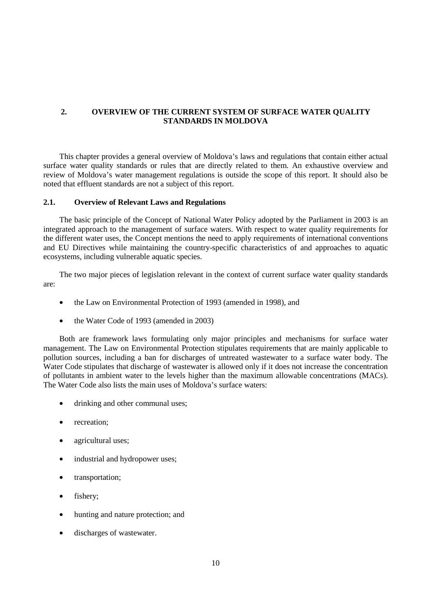## **2. OVERVIEW OF THE CURRENT SYSTEM OF SURFACE WATER QUALITY STANDARDS IN MOLDOVA**

This chapter provides a general overview of Moldova's laws and regulations that contain either actual surface water quality standards or rules that are directly related to them. An exhaustive overview and review of Moldova's water management regulations is outside the scope of this report. It should also be noted that effluent standards are not a subject of this report.

#### **2.1. Overview of Relevant Laws and Regulations**

The basic principle of the Concept of National Water Policy adopted by the Parliament in 2003 is an integrated approach to the management of surface waters. With respect to water quality requirements for the different water uses, the Concept mentions the need to apply requirements of international conventions and EU Directives while maintaining the country-specific characteristics of and approaches to aquatic ecosystems, including vulnerable aquatic species.

The two major pieces of legislation relevant in the context of current surface water quality standards are:

- the Law on Environmental Protection of 1993 (amended in 1998), and
- the Water Code of 1993 (amended in 2003)

Both are framework laws formulating only major principles and mechanisms for surface water management. The Law on Environmental Protection stipulates requirements that are mainly applicable to pollution sources, including a ban for discharges of untreated wastewater to a surface water body. The Water Code stipulates that discharge of wastewater is allowed only if it does not increase the concentration of pollutants in ambient water to the levels higher than the maximum allowable concentrations (MACs). The Water Code also lists the main uses of Moldova's surface waters:

- drinking and other communal uses;
- recreation;
- agricultural uses;
- industrial and hydropower uses;
- transportation;
- fishery;
- hunting and nature protection; and
- discharges of wastewater.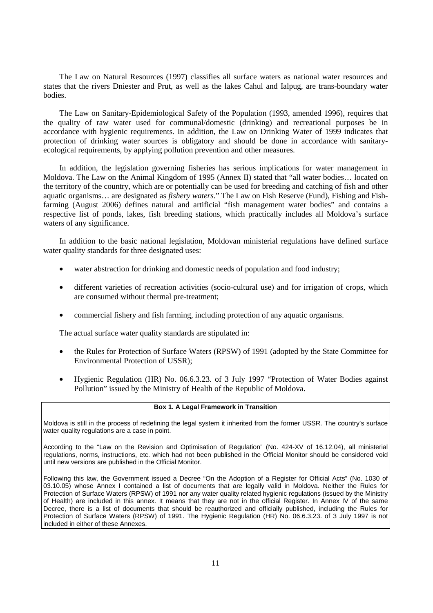The Law on Natural Resources (1997) classifies all surface waters as national water resources and states that the rivers Dniester and Prut, as well as the lakes Cahul and Ialpug, are trans-boundary water bodies.

The Law on Sanitary-Epidemiological Safety of the Population (1993, amended 1996), requires that the quality of raw water used for communal/domestic (drinking) and recreational purposes be in accordance with hygienic requirements. In addition, the Law on Drinking Water of 1999 indicates that protection of drinking water sources is obligatory and should be done in accordance with sanitaryecological requirements, by applying pollution prevention and other measures.

In addition, the legislation governing fisheries has serious implications for water management in Moldova. The Law on the Animal Kingdom of 1995 (Annex II) stated that "all water bodies… located on the territory of the country, which are or potentially can be used for breeding and catching of fish and other aquatic organisms… are designated as *fishery waters*." The Law on Fish Reserve (Fund), Fishing and Fishfarming (August 2006) defines natural and artificial "fish management water bodies" and contains a respective list of ponds, lakes, fish breeding stations, which practically includes all Moldova's surface waters of any significance.

In addition to the basic national legislation, Moldovan ministerial regulations have defined surface water quality standards for three designated uses:

- water abstraction for drinking and domestic needs of population and food industry;
- different varieties of recreation activities (socio-cultural use) and for irrigation of crops, which are consumed without thermal pre-treatment;
- commercial fishery and fish farming, including protection of any aquatic organisms.

The actual surface water quality standards are stipulated in:

- the Rules for Protection of Surface Waters (RPSW) of 1991 (adopted by the State Committee for Environmental Protection of USSR);
- Hygienic Regulation (HR) No. 06.6.3.23. of 3 July 1997 "Protection of Water Bodies against Pollution" issued by the Ministry of Health of the Republic of Moldova.

#### **Box 1. A Legal Framework in Transition**

Moldova is still in the process of redefining the legal system it inherited from the former USSR. The country's surface water quality regulations are a case in point.

According to the "Law on the Revision and Optimisation of Regulation" (No. 424-XV of 16.12.04), all ministerial regulations, norms, instructions, etc. which had not been published in the Official Monitor should be considered void until new versions are published in the Official Monitor.

Following this law, the Government issued a Decree "On the Adoption of a Register for Official Acts" (No. 1030 of 03.10.05) whose Annex I contained a list of documents that are legally valid in Moldova. Neither the Rules for Protection of Surface Waters (RPSW) of 1991 nor any water quality related hygienic regulations (issued by the Ministry of Health) are included in this annex. It means that they are not in the official Register. In Annex IV of the same Decree, there is a list of documents that should be reauthorized and officially published, including the Rules for Protection of Surface Waters (RPSW) of 1991. The Hygienic Regulation (HR) No. 06.6.3.23. of 3 July 1997 is not included in either of these Annexes.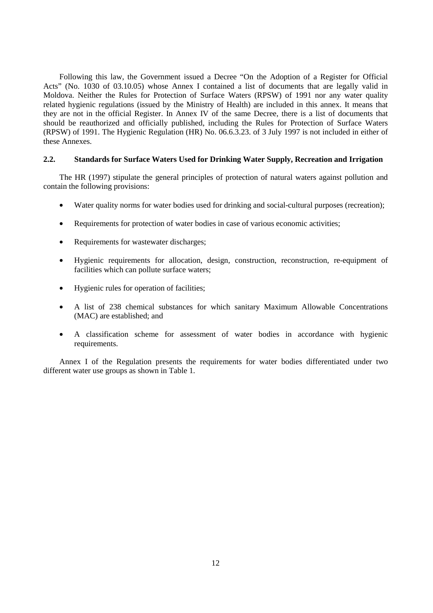Following this law, the Government issued a Decree "On the Adoption of a Register for Official Acts" (No. 1030 of 03.10.05) whose Annex I contained a list of documents that are legally valid in Moldova. Neither the Rules for Protection of Surface Waters (RPSW) of 1991 nor any water quality related hygienic regulations (issued by the Ministry of Health) are included in this annex. It means that they are not in the official Register. In Annex IV of the same Decree, there is a list of documents that should be reauthorized and officially published, including the Rules for Protection of Surface Waters (RPSW) of 1991. The Hygienic Regulation (HR) No. 06.6.3.23. of 3 July 1997 is not included in either of these Annexes.

#### **2.2. Standards for Surface Waters Used for Drinking Water Supply, Recreation and Irrigation**

The HR (1997) stipulate the general principles of protection of natural waters against pollution and contain the following provisions:

- Water quality norms for water bodies used for drinking and social-cultural purposes (recreation);
- Requirements for protection of water bodies in case of various economic activities;
- Requirements for wastewater discharges;
- Hygienic requirements for allocation, design, construction, reconstruction, re-equipment of facilities which can pollute surface waters;
- Hygienic rules for operation of facilities;
- A list of 238 chemical substances for which sanitary Maximum Allowable Concentrations (MAC) are established; and
- A classification scheme for assessment of water bodies in accordance with hygienic requirements.

Annex I of the Regulation presents the requirements for water bodies differentiated under two different water use groups as shown in Table 1.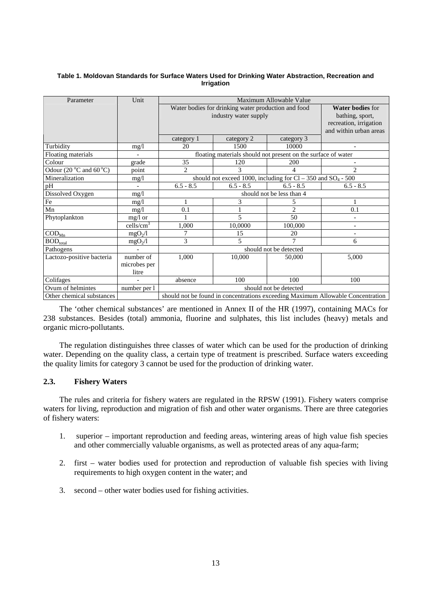#### **Table 1. Moldovan Standards for Surface Waters Used for Drinking Water Abstraction, Recreation and Irrigation**

| Parameter                                 | Unit                | Maximum Allowable Value                             |                                                                 |                           |                                                                                 |  |  |  |
|-------------------------------------------|---------------------|-----------------------------------------------------|-----------------------------------------------------------------|---------------------------|---------------------------------------------------------------------------------|--|--|--|
|                                           |                     | Water bodies for drinking water production and food | <b>Water bodies for</b>                                         |                           |                                                                                 |  |  |  |
|                                           |                     |                                                     | industry water supply                                           |                           | bathing, sport,                                                                 |  |  |  |
|                                           |                     |                                                     |                                                                 |                           | recreation, irrigation                                                          |  |  |  |
|                                           |                     |                                                     | and within urban areas                                          |                           |                                                                                 |  |  |  |
|                                           |                     | category 1                                          | category 2                                                      | category 3                |                                                                                 |  |  |  |
| Turbidity                                 | mg/l                | 20                                                  | 1500                                                            | 10000                     |                                                                                 |  |  |  |
| Floating materials                        |                     |                                                     | floating materials should not present on the surface of water   |                           |                                                                                 |  |  |  |
| Colour                                    | grade               | 35                                                  | 120                                                             | 200                       |                                                                                 |  |  |  |
| Odour $(20^{\circ}$ C and $60^{\circ}$ C) | point               | $\overline{2}$                                      | 3                                                               | 4                         | $\mathfrak{D}$                                                                  |  |  |  |
| Mineralization                            | mg/1                |                                                     | should not exceed 1000, including for Cl – 350 and $SO_4$ - 500 |                           |                                                                                 |  |  |  |
| pH                                        | $\blacksquare$      | $6.5 - 8.5$                                         | $6.5 - 8.5$                                                     | $6.5 - 8.5$               | $6.5 - 8.5$                                                                     |  |  |  |
| Dissolved Oxygen                          | mg/1                |                                                     |                                                                 | should not be less than 4 |                                                                                 |  |  |  |
| Fe                                        | mg/l                | $\mathbf{1}$                                        | 3                                                               | 5.                        |                                                                                 |  |  |  |
| Mn                                        | mg/l                | 0.1                                                 |                                                                 | $\overline{2}$            | 0.1                                                                             |  |  |  |
| Phytoplankton<br>$mg/l$ or                |                     |                                                     | 5                                                               | 50                        |                                                                                 |  |  |  |
|                                           | $\text{cells/cm}^3$ | 1,000                                               | 10,0000                                                         | 100,000                   | $\overline{\phantom{a}}$                                                        |  |  |  |
| $\text{COD}_{\text{Mn}}$                  | mgO <sub>2</sub> /l | 7                                                   | 15                                                              | 20                        |                                                                                 |  |  |  |
| $BOD_{total}$                             | mgO <sub>2</sub> /l | 3                                                   | 5                                                               | 7                         | 6                                                                               |  |  |  |
| Pathogens                                 |                     |                                                     |                                                                 | should not be detected    |                                                                                 |  |  |  |
| Lactozo-positive bacteria                 | number of           | 1,000                                               | 10,000                                                          | 50,000                    | 5,000                                                                           |  |  |  |
|                                           | microbes per        |                                                     |                                                                 |                           |                                                                                 |  |  |  |
|                                           | litre               |                                                     |                                                                 |                           |                                                                                 |  |  |  |
| Colifages                                 |                     | absence                                             | 100                                                             | 100                       | 100                                                                             |  |  |  |
| Ovum of helmintes                         | number per l        |                                                     |                                                                 | should not be detected    |                                                                                 |  |  |  |
| Other chemical substances                 |                     |                                                     |                                                                 |                           | should not be found in concentrations exceeding Maximum Allowable Concentration |  |  |  |

The 'other chemical substances' are mentioned in Annex II of the HR (1997), containing MACs for 238 substances. Besides (total) ammonia, fluorine and sulphates, this list includes (heavy) metals and organic micro-pollutants.

The regulation distinguishes three classes of water which can be used for the production of drinking water. Depending on the quality class, a certain type of treatment is prescribed. Surface waters exceeding the quality limits for category 3 cannot be used for the production of drinking water.

## **2.3. Fishery Waters**

The rules and criteria for fishery waters are regulated in the RPSW (1991). Fishery waters comprise waters for living, reproduction and migration of fish and other water organisms. There are three categories of fishery waters:

- 1. superior important reproduction and feeding areas, wintering areas of high value fish species and other commercially valuable organisms, as well as protected areas of any aqua-farm;
- 2. first water bodies used for protection and reproduction of valuable fish species with living requirements to high oxygen content in the water; and
- 3. second other water bodies used for fishing activities.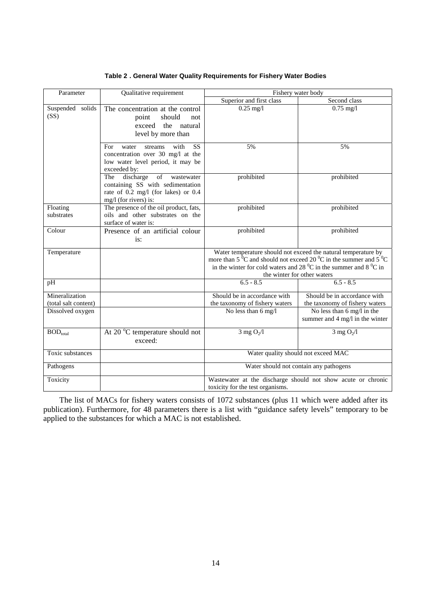| Parameter                              | Qualitative requirement                                                                                                                          | Fishery water body                                                                                                                                                                                                                                                  |                                                                |  |  |
|----------------------------------------|--------------------------------------------------------------------------------------------------------------------------------------------------|---------------------------------------------------------------------------------------------------------------------------------------------------------------------------------------------------------------------------------------------------------------------|----------------------------------------------------------------|--|--|
|                                        |                                                                                                                                                  | Superior and first class                                                                                                                                                                                                                                            | Second class                                                   |  |  |
| Suspended solids<br>(SS)               | The concentration at the control<br>should<br>point<br>not<br>exceed<br>the natural<br>level by more than                                        | $0.25$ mg/l                                                                                                                                                                                                                                                         | $0.75$ mg/l                                                    |  |  |
|                                        | <b>SS</b><br>with<br>For<br>water<br>streams<br>concentration over 30 mg/l at the<br>low water level period, it may be<br>exceeded by:           | 5%                                                                                                                                                                                                                                                                  | 5%                                                             |  |  |
|                                        | discharge<br>$\sigma$<br>wastewater<br>The<br>containing SS with sedimentation<br>rate of 0.2 mg/l (for lakes) or 0.4<br>$mg/l$ (for rivers) is: | prohibited                                                                                                                                                                                                                                                          | prohibited                                                     |  |  |
| Floating<br>substrates                 | The presence of the oil product, fats,<br>oils and other substrates on the<br>surface of water is:                                               | prohibited                                                                                                                                                                                                                                                          | prohibited                                                     |  |  |
| Colour                                 | Presence of an artificial colour<br>is:                                                                                                          | prohibited                                                                                                                                                                                                                                                          | prohibited                                                     |  |  |
| Temperature                            |                                                                                                                                                  | Water temperature should not exceed the natural temperature by<br>more than $5^{0}$ C and should not exceed 20 <sup>0</sup> C in the summer and $5^{0}$ C<br>in the winter for cold waters and 28 $^0C$ in the summer and 8 $^0C$ in<br>the winter for other waters |                                                                |  |  |
| pH                                     |                                                                                                                                                  | $6.5 - 8.5$                                                                                                                                                                                                                                                         | $6.5 - 8.5$                                                    |  |  |
| Mineralization<br>(total salt content) |                                                                                                                                                  | Should be in accordance with<br>the taxonomy of fishery waters                                                                                                                                                                                                      | Should be in accordance with<br>the taxonomy of fishery waters |  |  |
| Dissolved oxygen                       |                                                                                                                                                  | No less than 6 mg/l                                                                                                                                                                                                                                                 | No less than 6 mg/l in the<br>summer and 4 mg/l in the winter  |  |  |
| $BOD_{total}$                          | At 20 °C temperature should not<br>exceed:                                                                                                       | $3$ mg $O_2/l$                                                                                                                                                                                                                                                      | $3$ mg $O_2/l$                                                 |  |  |
| Toxic substances                       |                                                                                                                                                  |                                                                                                                                                                                                                                                                     | Water quality should not exceed MAC                            |  |  |
| Pathogens                              |                                                                                                                                                  |                                                                                                                                                                                                                                                                     | Water should not contain any pathogens                         |  |  |
| Toxicity                               |                                                                                                                                                  | Wastewater at the discharge should not show acute or chronic<br>toxicity for the test organisms.                                                                                                                                                                    |                                                                |  |  |

**Table 2 . General Water Quality Requirements for Fishery Water Bodies** 

The list of MACs for fishery waters consists of 1072 substances (plus 11 which were added after its publication). Furthermore, for 48 parameters there is a list with "guidance safety levels" temporary to be applied to the substances for which a MAC is not established.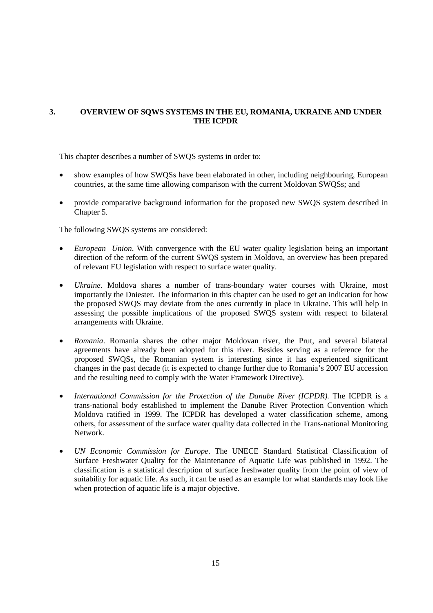# **3. OVERVIEW OF SQWS SYSTEMS IN THE EU, ROMANIA, UKRAINE AND UNDER THE ICPDR**

This chapter describes a number of SWQS systems in order to:

- show examples of how SWQSs have been elaborated in other, including neighbouring, European countries, at the same time allowing comparison with the current Moldovan SWQSs; and
- provide comparative background information for the proposed new SWQS system described in Chapter 5.

The following SWQS systems are considered:

- *European Union*. With convergence with the EU water quality legislation being an important direction of the reform of the current SWQS system in Moldova, an overview has been prepared of relevant EU legislation with respect to surface water quality.
- *Ukraine*. Moldova shares a number of trans-boundary water courses with Ukraine, most importantly the Dniester. The information in this chapter can be used to get an indication for how the proposed SWQS may deviate from the ones currently in place in Ukraine. This will help in assessing the possible implications of the proposed SWQS system with respect to bilateral arrangements with Ukraine.
- *Romania*. Romania shares the other major Moldovan river, the Prut, and several bilateral agreements have already been adopted for this river. Besides serving as a reference for the proposed SWQSs, the Romanian system is interesting since it has experienced significant changes in the past decade (it is expected to change further due to Romania's 2007 EU accession and the resulting need to comply with the Water Framework Directive).
- *International Commission for the Protection of the Danube River (ICPDR)*. The ICPDR is a trans-national body established to implement the Danube River Protection Convention which Moldova ratified in 1999. The ICPDR has developed a water classification scheme, among others, for assessment of the surface water quality data collected in the Trans-national Monitoring Network.
- *UN Economic Commission for Europe*. The UNECE Standard Statistical Classification of Surface Freshwater Quality for the Maintenance of Aquatic Life was published in 1992. The classification is a statistical description of surface freshwater quality from the point of view of suitability for aquatic life. As such, it can be used as an example for what standards may look like when protection of aquatic life is a major objective.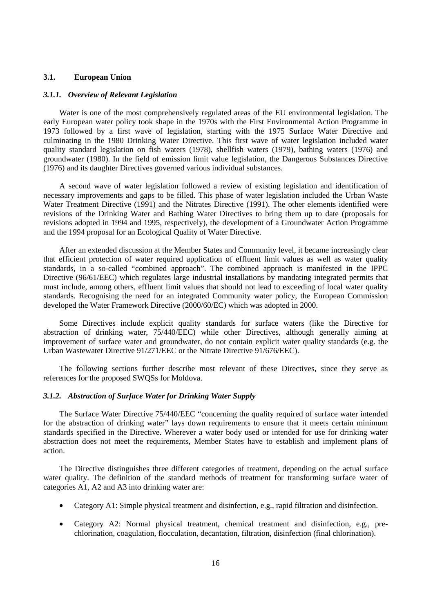## **3.1. European Union**

#### *3.1.1. Overview of Relevant Legislation*

Water is one of the most comprehensively regulated areas of the EU environmental legislation. The early European water policy took shape in the 1970s with the First Environmental Action Programme in 1973 followed by a first wave of legislation, starting with the 1975 Surface Water Directive and culminating in the 1980 Drinking Water Directive. This first wave of water legislation included water quality standard legislation on fish waters (1978), shellfish waters (1979), bathing waters (1976) and groundwater (1980). In the field of emission limit value legislation, the Dangerous Substances Directive (1976) and its daughter Directives governed various individual substances.

A second wave of water legislation followed a review of existing legislation and identification of necessary improvements and gaps to be filled. This phase of water legislation included the Urban Waste Water Treatment Directive (1991) and the Nitrates Directive (1991). The other elements identified were revisions of the Drinking Water and Bathing Water Directives to bring them up to date (proposals for revisions adopted in 1994 and 1995, respectively), the development of a Groundwater Action Programme and the 1994 proposal for an Ecological Quality of Water Directive.

After an extended discussion at the Member States and Community level, it became increasingly clear that efficient protection of water required application of effluent limit values as well as water quality standards, in a so-called "combined approach". The combined approach is manifested in the IPPC Directive (96/61/EEC) which regulates large industrial installations by mandating integrated permits that must include, among others, effluent limit values that should not lead to exceeding of local water quality standards. Recognising the need for an integrated Community water policy, the European Commission developed the Water Framework Directive (2000/60/EC) which was adopted in 2000.

Some Directives include explicit quality standards for surface waters (like the Directive for abstraction of drinking water, 75/440/EEC) while other Directives, although generally aiming at improvement of surface water and groundwater, do not contain explicit water quality standards (e.g. the Urban Wastewater Directive 91/271/EEC or the Nitrate Directive 91/676/EEC).

The following sections further describe most relevant of these Directives, since they serve as references for the proposed SWQSs for Moldova.

#### *3.1.2. Abstraction of Surface Water for Drinking Water Supply*

The Surface Water Directive 75/440/EEC "concerning the quality required of surface water intended for the abstraction of drinking water" lays down requirements to ensure that it meets certain minimum standards specified in the Directive. Wherever a water body used or intended for use for drinking water abstraction does not meet the requirements, Member States have to establish and implement plans of action.

The Directive distinguishes three different categories of treatment, depending on the actual surface water quality. The definition of the standard methods of treatment for transforming surface water of categories A1, A2 and A3 into drinking water are:

- Category A1: Simple physical treatment and disinfection, e.g., rapid filtration and disinfection.
- Category A2: Normal physical treatment, chemical treatment and disinfection, e.g., prechlorination, coagulation, flocculation, decantation, filtration, disinfection (final chlorination).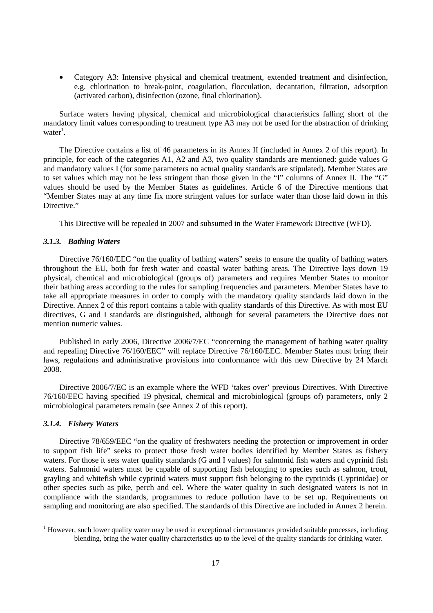• Category A3: Intensive physical and chemical treatment, extended treatment and disinfection, e.g. chlorination to break-point, coagulation, flocculation, decantation, filtration, adsorption (activated carbon), disinfection (ozone, final chlorination).

Surface waters having physical, chemical and microbiological characteristics falling short of the mandatory limit values corresponding to treatment type A3 may not be used for the abstraction of drinking water<sup>1</sup>.

The Directive contains a list of 46 parameters in its Annex II (included in Annex 2 of this report). In principle, for each of the categories A1, A2 and A3, two quality standards are mentioned: guide values G and mandatory values I (for some parameters no actual quality standards are stipulated). Member States are to set values which may not be less stringent than those given in the "I" columns of Annex II. The "G" values should be used by the Member States as guidelines. Article 6 of the Directive mentions that "Member States may at any time fix more stringent values for surface water than those laid down in this Directive."

This Directive will be repealed in 2007 and subsumed in the Water Framework Directive (WFD).

#### *3.1.3. Bathing Waters*

Directive 76/160/EEC "on the quality of bathing waters" seeks to ensure the quality of bathing waters throughout the EU, both for fresh water and coastal water bathing areas. The Directive lays down 19 physical, chemical and microbiological (groups of) parameters and requires Member States to monitor their bathing areas according to the rules for sampling frequencies and parameters. Member States have to take all appropriate measures in order to comply with the mandatory quality standards laid down in the Directive. Annex 2 of this report contains a table with quality standards of this Directive. As with most EU directives, G and I standards are distinguished, although for several parameters the Directive does not mention numeric values.

Published in early 2006, Directive 2006/7/EC "concerning the management of bathing water quality and repealing Directive 76/160/EEC" will replace Directive 76/160/EEC. Member States must bring their laws, regulations and administrative provisions into conformance with this new Directive by 24 March 2008.

Directive 2006/7/EC is an example where the WFD 'takes over' previous Directives. With Directive 76/160/EEC having specified 19 physical, chemical and microbiological (groups of) parameters, only 2 microbiological parameters remain (see Annex 2 of this report).

#### *3.1.4. Fishery Waters*

Directive 78/659/EEC "on the quality of freshwaters needing the protection or improvement in order to support fish life" seeks to protect those fresh water bodies identified by Member States as fishery waters. For those it sets water quality standards (G and I values) for salmonid fish waters and cyprinid fish waters. Salmonid waters must be capable of supporting fish belonging to species such as salmon, trout, grayling and whitefish while cyprinid waters must support fish belonging to the cyprinids (Cyprinidae) or other species such as pike, perch and eel. Where the water quality in such designated waters is not in compliance with the standards, programmes to reduce pollution have to be set up. Requirements on sampling and monitoring are also specified. The standards of this Directive are included in Annex 2 herein.

<sup>&</sup>lt;sup>1</sup> However, such lower quality water may be used in exceptional circumstances provided suitable processes, including blending, bring the water quality characteristics up to the level of the quality standards for drinking water.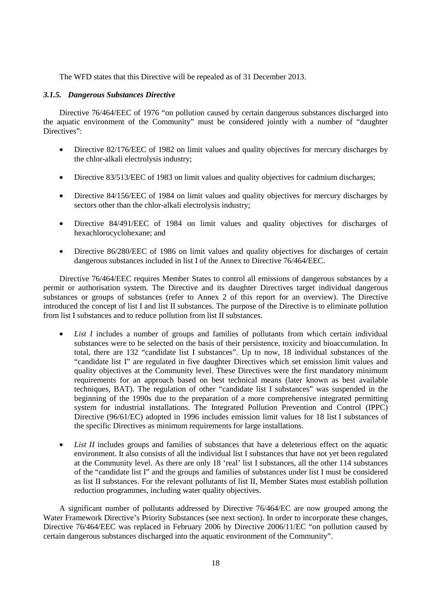The WFD states that this Directive will be repealed as of 31 December 2013.

## *3.1.5. Dangerous Substances Directive*

Directive 76/464/EEC of 1976 "on pollution caused by certain dangerous substances discharged into the aquatic environment of the Community" must be considered jointly with a number of "daughter Directives":

- Directive 82/176/EEC of 1982 on limit values and quality objectives for mercury discharges by the chlor-alkali electrolysis industry;
- Directive 83/513/EEC of 1983 on limit values and quality objectives for cadmium discharges;
- Directive 84/156/EEC of 1984 on limit values and quality objectives for mercury discharges by sectors other than the chlor-alkali electrolysis industry;
- Directive 84/491/EEC of 1984 on limit values and quality objectives for discharges of hexachlorocyclohexane; and
- Directive 86/280/EEC of 1986 on limit values and quality objectives for discharges of certain dangerous substances included in list I of the Annex to Directive 76/464/EEC.

Directive 76/464/EEC requires Member States to control all emissions of dangerous substances by a permit or authorisation system. The Directive and its daughter Directives target individual dangerous substances or groups of substances (refer to Annex 2 of this report for an overview). The Directive introduced the concept of list I and list II substances. The purpose of the Directive is to eliminate pollution from list I substances and to reduce pollution from list II substances.

- *List I* includes a number of groups and families of pollutants from which certain individual substances were to be selected on the basis of their persistence, toxicity and bioaccumulation. In total, there are 132 "candidate list I substances". Up to now, 18 individual substances of the "candidate list I" are regulated in five daughter Directives which set emission limit values and quality objectives at the Community level. These Directives were the first mandatory minimum requirements for an approach based on best technical means (later known as best available techniques, BAT). The regulation of other "candidate list I substances" was suspended in the beginning of the 1990s due to the preparation of a more comprehensive integrated permitting system for industrial installations. The Integrated Pollution Prevention and Control (IPPC) Directive (96/61/EC) adopted in 1996 includes emission limit values for 18 list I substances of the specific Directives as minimum requirements for large installations.
- *List II* includes groups and families of substances that have a deleterious effect on the aquatic environment. It also consists of all the individual list I substances that have not yet been regulated at the Community level. As there are only 18 'real' list I substances, all the other 114 substances of the "candidate list I" and the groups and families of substances under list I must be considered as list II substances. For the relevant pollutants of list II, Member States must establish pollution reduction programmes, including water quality objectives.

A significant number of pollutants addressed by Directive 76/464/EC are now grouped among the Water Framework Directive's Priority Substances (see next section). In order to incorporate these changes, Directive 76/464/EEC was replaced in February 2006 by Directive 2006/11/EC "on pollution caused by certain dangerous substances discharged into the aquatic environment of the Community".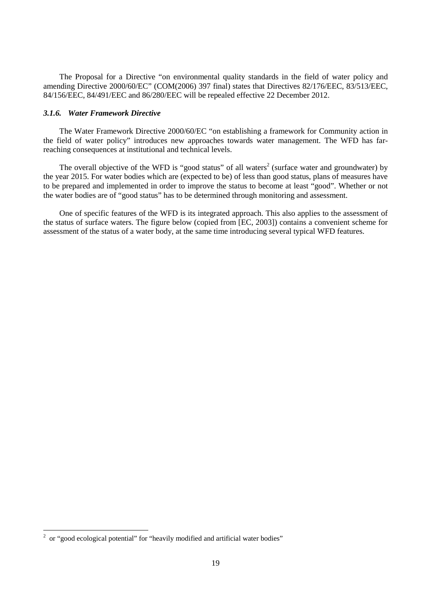The Proposal for a Directive "on environmental quality standards in the field of water policy and amending Directive 2000/60/EC" (COM(2006) 397 final) states that Directives 82/176/EEC, 83/513/EEC, 84/156/EEC, 84/491/EEC and 86/280/EEC will be repealed effective 22 December 2012.

#### *3.1.6. Water Framework Directive*

The Water Framework Directive 2000/60/EC "on establishing a framework for Community action in the field of water policy" introduces new approaches towards water management. The WFD has farreaching consequences at institutional and technical levels.

The overall objective of the WFD is "good status" of all waters<sup>2</sup> (surface water and groundwater) by the year 2015. For water bodies which are (expected to be) of less than good status, plans of measures have to be prepared and implemented in order to improve the status to become at least "good". Whether or not the water bodies are of "good status" has to be determined through monitoring and assessment.

One of specific features of the WFD is its integrated approach. This also applies to the assessment of the status of surface waters. The figure below (copied from [EC, 2003]) contains a convenient scheme for assessment of the status of a water body, at the same time introducing several typical WFD features.

 2 or "good ecological potential" for "heavily modified and artificial water bodies"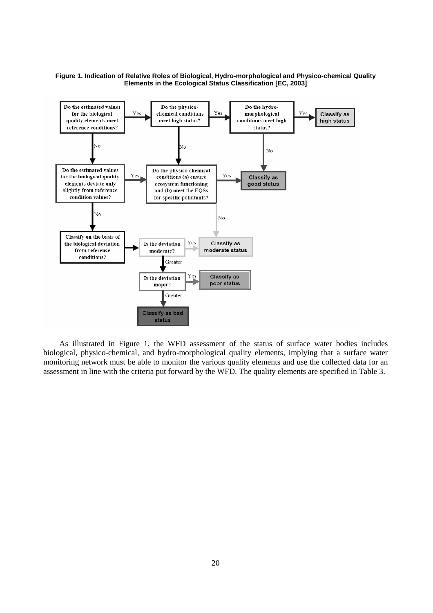#### **Figure 1. Indication of Relative Roles of Biological, Hydro-morphological and Physico-chemical Quality Elements in the Ecological Status Classification [EC, 2003]**



As illustrated in Figure 1, the WFD assessment of the status of surface water bodies includes biological, physico-chemical, and hydro-morphological quality elements, implying that a surface water monitoring network must be able to monitor the various quality elements and use the collected data for an assessment in line with the criteria put forward by the WFD. The quality elements are specified in Table 3.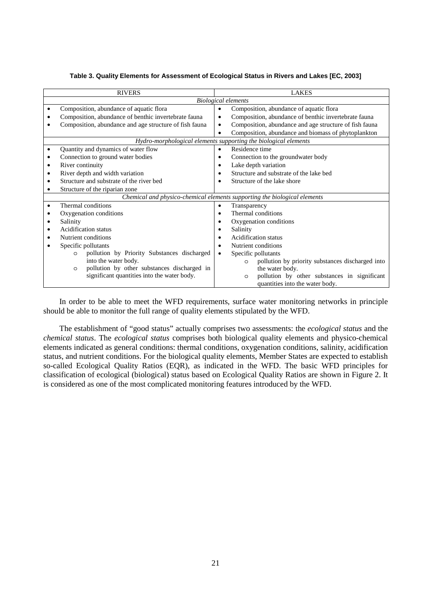|                          | <b>RIVERS</b>                                          | <b>LAKES</b>                                                              |  |  |  |
|--------------------------|--------------------------------------------------------|---------------------------------------------------------------------------|--|--|--|
|                          |                                                        | <b>Biological elements</b>                                                |  |  |  |
| ٠                        | Composition, abundance of aquatic flora                | Composition, abundance of aquatic flora<br>$\bullet$                      |  |  |  |
| ٠                        | Composition, abundance of benthic invertebrate fauna   | Composition, abundance of benthic invertebrate fauna<br>٠                 |  |  |  |
| ٠                        | Composition, abundance and age structure of fish fauna | Composition, abundance and age structure of fish fauna<br>$\bullet$       |  |  |  |
|                          |                                                        | Composition, abundance and biomass of phytoplankton<br>$\bullet$          |  |  |  |
|                          |                                                        | Hydro-morphological elements supporting the biological elements           |  |  |  |
| ٠                        | Quantity and dynamics of water flow                    | Residence time<br>$\bullet$                                               |  |  |  |
| ٠                        | Connection to ground water bodies                      | Connection to the groundwater body<br>٠                                   |  |  |  |
| $\bullet$                | River continuity                                       | Lake depth variation<br>$\bullet$                                         |  |  |  |
| ٠                        | River depth and width variation                        | Structure and substrate of the lake bed<br>٠                              |  |  |  |
| ٠                        | Structure and substrate of the river bed               | Structure of the lake shore                                               |  |  |  |
|                          | Structure of the riparian zone                         |                                                                           |  |  |  |
|                          |                                                        | Chemical and physico-chemical elements supporting the biological elements |  |  |  |
| ٠                        | Thermal conditions                                     | Transparency<br>$\bullet$                                                 |  |  |  |
| ٠                        | Oxygenation conditions                                 | Thermal conditions<br>$\bullet$                                           |  |  |  |
| ٠                        | Salinity                                               | Oxygenation conditions<br>٠                                               |  |  |  |
| ٠                        | Acidification status                                   | Salinity<br>٠                                                             |  |  |  |
| ٠                        | Nutrient conditions                                    | Acidification status<br>٠                                                 |  |  |  |
| Specific pollutants<br>٠ |                                                        | Nutrient conditions                                                       |  |  |  |
|                          | pollution by Priority Substances discharged<br>O       | Specific pollutants<br>$\bullet$                                          |  |  |  |
|                          | into the water body.                                   | pollution by priority substances discharged into<br>$\circ$               |  |  |  |
|                          | pollution by other substances discharged in<br>$\circ$ | the water body.                                                           |  |  |  |
|                          | significant quantities into the water body.            | pollution by other substances in significant<br>$\circ$                   |  |  |  |
|                          |                                                        | quantities into the water body.                                           |  |  |  |

#### **Table 3. Quality Elements for Assessment of Ecological Status in Rivers and Lakes [EC, 2003]**

In order to be able to meet the WFD requirements, surface water monitoring networks in principle should be able to monitor the full range of quality elements stipulated by the WFD.

The establishment of "good status" actually comprises two assessments: the *ecological status* and the *chemical status*. The *ecological status* comprises both biological quality elements and physico-chemical elements indicated as general conditions: thermal conditions, oxygenation conditions, salinity, acidification status, and nutrient conditions. For the biological quality elements, Member States are expected to establish so-called Ecological Quality Ratios (EQR), as indicated in the WFD. The basic WFD principles for classification of ecological (biological) status based on Ecological Quality Ratios are shown in Figure 2. It is considered as one of the most complicated monitoring features introduced by the WFD.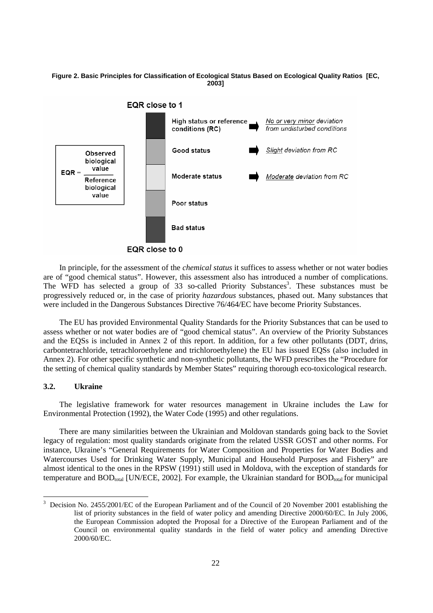#### **Figure 2. Basic Principles for Classification of Ecological Status Based on Ecological Quality Ratios [EC, 2003]**



In principle, for the assessment of the *chemical status* it suffices to assess whether or not water bodies are of "good chemical status". However, this assessment also has introduced a number of complications. The WFD has selected a group of 33 so-called Priority Substances<sup>3</sup>. These substances must be progressively reduced or, in the case of priority *hazardous* substances, phased out. Many substances that were included in the Dangerous Substances Directive 76/464/EC have become Priority Substances.

The EU has provided Environmental Quality Standards for the Priority Substances that can be used to assess whether or not water bodies are of "good chemical status". An overview of the Priority Substances and the EQSs is included in Annex 2 of this report. In addition, for a few other pollutants (DDT, drins, carbontetrachloride, tetrachloroethylene and trichloroethylene) the EU has issued EQSs (also included in Annex 2). For other specific synthetic and non-synthetic pollutants, the WFD prescribes the "Procedure for the setting of chemical quality standards by Member States" requiring thorough eco-toxicological research.

## **3.2. Ukraine**

 $\ddot{\phantom{a}}$ 

The legislative framework for water resources management in Ukraine includes the Law for Environmental Protection (1992), the Water Code (1995) and other regulations.

There are many similarities between the Ukrainian and Moldovan standards going back to the Soviet legacy of regulation: most quality standards originate from the related USSR GOST and other norms. For instance, Ukraine's "General Requirements for Water Composition and Properties for Water Bodies and Watercourses Used for Drinking Water Supply, Municipal and Household Purposes and Fishery" are almost identical to the ones in the RPSW (1991) still used in Moldova, with the exception of standards for temperature and  $BOD_{total}$  [UN/ECE, 2002]. For example, the Ukrainian standard for  $BOD_{total}$  for municipal

<sup>3</sup> Decision No. 2455/2001/EC of the European Parliament and of the Council of 20 November 2001 establishing the list of priority substances in the field of water policy and amending Directive 2000/60/EC. In July 2006, the European Commission adopted the Proposal for a Directive of the European Parliament and of the Council on environmental quality standards in the field of water policy and amending Directive 2000/60/EC.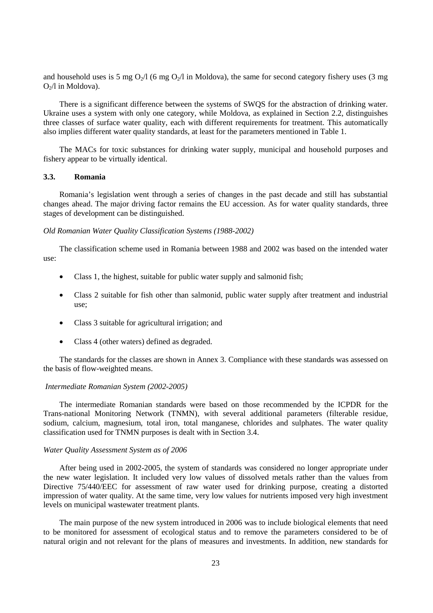and household uses is 5 mg  $O_2/1$  (6 mg  $O_2/1$  in Moldova), the same for second category fishery uses (3 mg  $O<sub>2</sub>/l$  in Moldova).

There is a significant difference between the systems of SWQS for the abstraction of drinking water. Ukraine uses a system with only one category, while Moldova, as explained in Section 2.2, distinguishes three classes of surface water quality, each with different requirements for treatment. This automatically also implies different water quality standards, at least for the parameters mentioned in Table 1.

The MACs for toxic substances for drinking water supply, municipal and household purposes and fishery appear to be virtually identical.

#### **3.3. Romania**

Romania's legislation went through a series of changes in the past decade and still has substantial changes ahead. The major driving factor remains the EU accession. As for water quality standards, three stages of development can be distinguished.

#### *Old Romanian Water Quality Classification Systems (1988-2002)*

The classification scheme used in Romania between 1988 and 2002 was based on the intended water use:

- Class 1, the highest, suitable for public water supply and salmonid fish;
- Class 2 suitable for fish other than salmonid, public water supply after treatment and industrial use;
- Class 3 suitable for agricultural irrigation; and
- Class 4 (other waters) defined as degraded.

The standards for the classes are shown in Annex 3. Compliance with these standards was assessed on the basis of flow-weighted means.

## *Intermediate Romanian System (2002-2005)*

The intermediate Romanian standards were based on those recommended by the ICPDR for the Trans-national Monitoring Network (TNMN), with several additional parameters (filterable residue, sodium, calcium, magnesium, total iron, total manganese, chlorides and sulphates. The water quality classification used for TNMN purposes is dealt with in Section 3.4.

#### *Water Quality Assessment System as of 2006*

After being used in 2002-2005, the system of standards was considered no longer appropriate under the new water legislation. It included very low values of dissolved metals rather than the values from Directive 75/440/EEC for assessment of raw water used for drinking purpose, creating a distorted impression of water quality. At the same time, very low values for nutrients imposed very high investment levels on municipal wastewater treatment plants.

The main purpose of the new system introduced in 2006 was to include biological elements that need to be monitored for assessment of ecological status and to remove the parameters considered to be of natural origin and not relevant for the plans of measures and investments. In addition, new standards for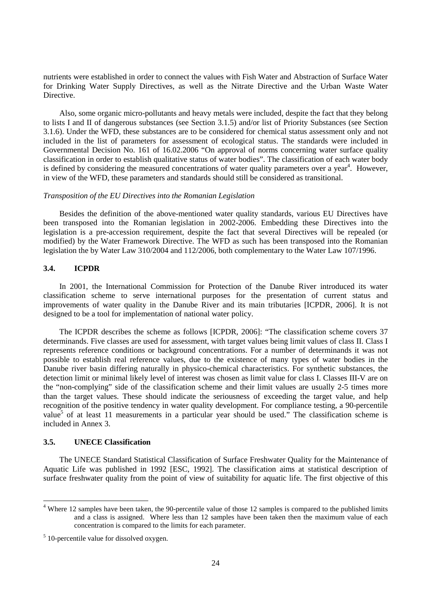nutrients were established in order to connect the values with Fish Water and Abstraction of Surface Water for Drinking Water Supply Directives, as well as the Nitrate Directive and the Urban Waste Water Directive.

Also, some organic micro-pollutants and heavy metals were included, despite the fact that they belong to lists I and II of dangerous substances (see Section 3.1.5) and/or list of Priority Substances (see Section 3.1.6). Under the WFD, these substances are to be considered for chemical status assessment only and not included in the list of parameters for assessment of ecological status. The standards were included in Governmental Decision No. 161 of 16.02.2006 "On approval of norms concerning water surface quality classification in order to establish qualitative status of water bodies". The classification of each water body is defined by considering the measured concentrations of water quality parameters over a year<sup>4</sup>. However, in view of the WFD, these parameters and standards should still be considered as transitional.

#### *Transposition of the EU Directives into the Romanian Legislation*

Besides the definition of the above-mentioned water quality standards, various EU Directives have been transposed into the Romanian legislation in 2002-2006. Embedding these Directives into the legislation is a pre-accession requirement, despite the fact that several Directives will be repealed (or modified) by the Water Framework Directive. The WFD as such has been transposed into the Romanian legislation the by Water Law 310/2004 and 112/2006, both complementary to the Water Law 107/1996.

## **3.4. ICPDR**

In 2001, the International Commission for Protection of the Danube River introduced its water classification scheme to serve international purposes for the presentation of current status and improvements of water quality in the Danube River and its main tributaries [ICPDR, 2006]. It is not designed to be a tool for implementation of national water policy.

The ICPDR describes the scheme as follows [ICPDR, 2006]: "The classification scheme covers 37 determinands. Five classes are used for assessment, with target values being limit values of class II. Class I represents reference conditions or background concentrations. For a number of determinands it was not possible to establish real reference values, due to the existence of many types of water bodies in the Danube river basin differing naturally in physico-chemical characteristics. For synthetic substances, the detection limit or minimal likely level of interest was chosen as limit value for class I. Classes III-V are on the "non-complying" side of the classification scheme and their limit values are usually 2-5 times more than the target values. These should indicate the seriousness of exceeding the target value, and help recognition of the positive tendency in water quality development. For compliance testing, a 90-percentile value<sup>5</sup> of at least 11 measurements in a particular year should be used." The classification scheme is included in Annex 3.

## **3.5. UNECE Classification**

 $\overline{a}$ 

The UNECE Standard Statistical Classification of Surface Freshwater Quality for the Maintenance of Aquatic Life was published in 1992 [ESC, 1992]. The classification aims at statistical description of surface freshwater quality from the point of view of suitability for aquatic life. The first objective of this

<sup>&</sup>lt;sup>4</sup> Where 12 samples have been taken, the 90-percentile value of those 12 samples is compared to the published limits and a class is assigned. Where less than 12 samples have been taken then the maximum value of each concentration is compared to the limits for each parameter.

<sup>&</sup>lt;sup>5</sup> 10-percentile value for dissolved oxygen.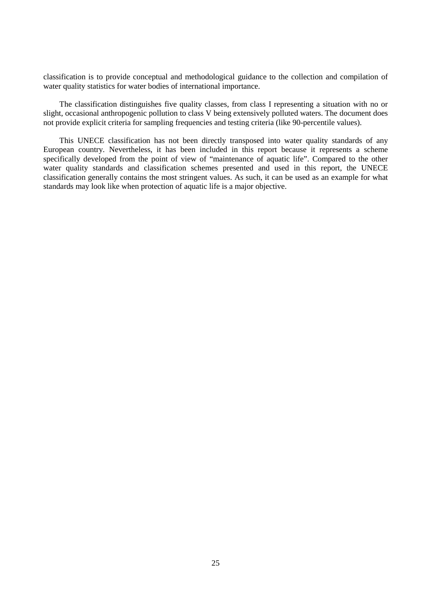classification is to provide conceptual and methodological guidance to the collection and compilation of water quality statistics for water bodies of international importance.

The classification distinguishes five quality classes, from class I representing a situation with no or slight, occasional anthropogenic pollution to class V being extensively polluted waters. The document does not provide explicit criteria for sampling frequencies and testing criteria (like 90-percentile values).

This UNECE classification has not been directly transposed into water quality standards of any European country. Nevertheless, it has been included in this report because it represents a scheme specifically developed from the point of view of "maintenance of aquatic life". Compared to the other water quality standards and classification schemes presented and used in this report, the UNECE classification generally contains the most stringent values. As such, it can be used as an example for what standards may look like when protection of aquatic life is a major objective.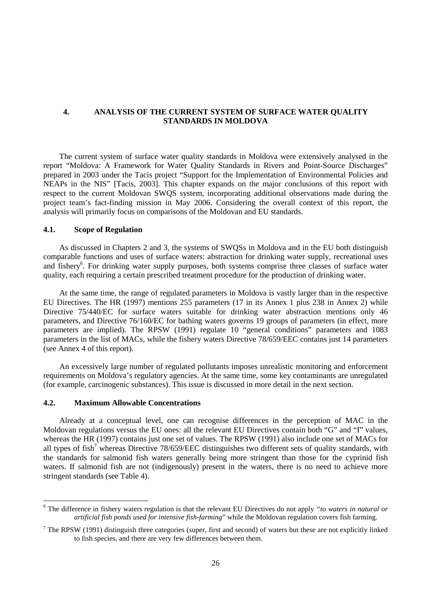## **4. ANALYSIS OF THE CURRENT SYSTEM OF SURFACE WATER QUALITY STANDARDS IN MOLDOVA**

The current system of surface water quality standards in Moldova were extensively analysed in the report "Moldova: A Framework for Water Quality Standards in Rivers and Point-Source Discharges" prepared in 2003 under the Tacis project "Support for the Implementation of Environmental Policies and NEAPs in the NIS" [Tacis, 2003]. This chapter expands on the major conclusions of this report with respect to the current Moldovan SWQS system, incorporating additional observations made during the project team's fact-finding mission in May 2006. Considering the overall context of this report, the analysis will primarily focus on comparisons of the Moldovan and EU standards.

# **4.1. Scope of Regulation**

As discussed in Chapters 2 and 3, the systems of SWQSs in Moldova and in the EU both distinguish comparable functions and uses of surface waters: abstraction for drinking water supply, recreational uses and fishery<sup>6</sup>. For drinking water supply purposes, both systems comprise three classes of surface water quality, each requiring a certain prescribed treatment procedure for the production of drinking water.

At the same time, the range of regulated parameters in Moldova is vastly larger than in the respective EU Directives. The HR (1997) mentions 255 parameters (17 in its Annex 1 plus 238 in Annex 2) while Directive 75/440/EC for surface waters suitable for drinking water abstraction mentions only 46 parameters, and Directive 76/160/EC for bathing waters governs 19 groups of parameters (in effect, more parameters are implied). The RPSW (1991) regulate 10 "general conditions" parameters and 1083 parameters in the list of MACs, while the fishery waters Directive 78/659/EEC contains just 14 parameters (see Annex 4 of this report).

An excessively large number of regulated pollutants imposes unrealistic monitoring and enforcement requirements on Moldova's regulatory agencies. At the same time, some key contaminants are unregulated (for example, carcinogenic substances). This issue is discussed in more detail in the next section.

## **4.2. Maximum Allowable Concentrations**

 $\overline{a}$ 

Already at a conceptual level, one can recognise differences in the perception of MAC in the Moldovan regulations versus the EU ones: all the relevant EU Directives contain both "G" and "I" values, whereas the HR (1997) contains just one set of values. The RPSW (1991) also include one set of MACs for all types of fish<sup>7</sup> whereas Directive 78/659/EEC distinguishes two different sets of quality standards, with the standards for salmonid fish waters generally being more stringent than those for the cyprinid fish waters. If salmonid fish are not (indigenously) present in the waters, there is no need to achieve more stringent standards (see Table 4).

<sup>6</sup> The difference in fishery waters regulation is that the relevant EU Directives do not apply *"to waters in natural or artificial fish ponds used for intensive fish-farming*" while the Moldovan regulation covers fish farming.

 $7$  The RPSW (1991) distinguish three categories (super, first and second) of waters but these are not explicitly linked to fish species, and there are very few differences between them.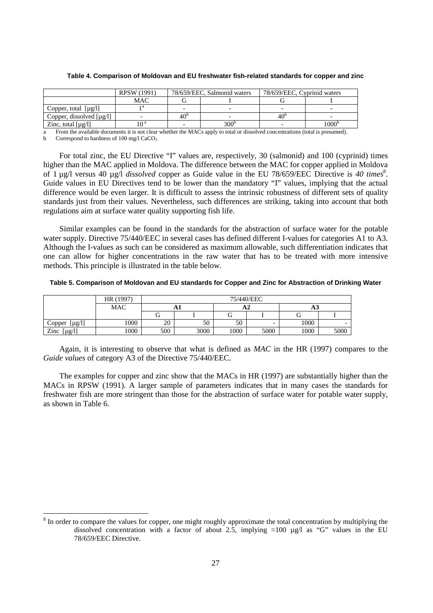| RPSW (1991)                   |                 |               | 78/659/EEC, Cyprinid waters |                |  |
|-------------------------------|-----------------|---------------|-----------------------------|----------------|--|
| <b>MAC</b>                    |                 |               |                             |                |  |
|                               |                 |               |                             |                |  |
| Copper, dissolved $[\mu g/l]$ | 40 <sup>b</sup> |               | 40 <sup>b</sup>             |                |  |
| ı∩a                           |                 | $300^{\circ}$ |                             | $1000^{\rm b}$ |  |
|                               |                 |               | 78/659/EEC, Salmonid waters |                |  |

#### **Table 4. Comparison of Moldovan and EU freshwater fish-related standards for copper and zinc**

a From the available documents it is not clear whether the MACs apply to total or dissolved concentrations (total is presumed). b Correspond to hardness of 100 mg/l CaCO<sub>3</sub>

For total zinc, the EU Directive "I" values are, respectively, 30 (salmonid) and 100 (cyprinid) times higher than the MAC applied in Moldova. The difference between the MAC for copper applied in Moldova of 1 µg/l versus 40 µg/l *dissolved* copper as Guide value in the EU 78/659/EEC Directive is 40 times<sup>8</sup>. Guide values in EU Directives tend to be lower than the mandatory "I" values, implying that the actual difference would be even larger. It is difficult to assess the intrinsic robustness of different sets of quality standards just from their values. Nevertheless, such differences are striking, taking into account that both regulations aim at surface water quality supporting fish life.

Similar examples can be found in the standards for the abstraction of surface water for the potable water supply. Directive 75/440/EEC in several cases has defined different I-values for categories A1 to A3. Although the I-values as such can be considered as maximum allowable, such differentiation indicates that one can allow for higher concentrations in the raw water that has to be treated with more intensive methods. This principle is illustrated in the table below.

**Table 5. Comparison of Moldovan and EU standards for Copper and Zinc for Abstraction of Drinking Water** 

|                       | HR (1997) |     | 75/440/EEC |      |                          |      |      |  |  |
|-----------------------|-----------|-----|------------|------|--------------------------|------|------|--|--|
|                       | MAC       |     |            |      |                          | AJ   |      |  |  |
|                       |           |     |            |      |                          |      |      |  |  |
| $[\mu g/l]$<br>Copper | 1000      | 20  | 50         | 50   | $\overline{\phantom{0}}$ | 1000 | -    |  |  |
| Zinc<br>$[\mu g/l]$   | 1000      | 500 | 3000       | 1000 | 5000                     | 1000 | 5000 |  |  |

Again, it is interesting to observe that what is defined as *MAC* in the HR (1997) compares to the *Guide values* of category A3 of the Directive 75/440/EEC.

The examples for copper and zinc show that the MACs in HR (1997) are substantially higher than the MACs in RPSW (1991). A larger sample of parameters indicates that in many cases the standards for freshwater fish are more stringent than those for the abstraction of surface water for potable water supply, as shown in Table 6.

 $\overline{a}$ 

 $8$  In order to compare the values for copper, one might roughly approximate the total concentration by multiplying the dissolved concentration with a factor of about 2.5, implying  $\approx 100 \text{ µg/l}$  as "G" values in the EU 78/659/EEC Directive.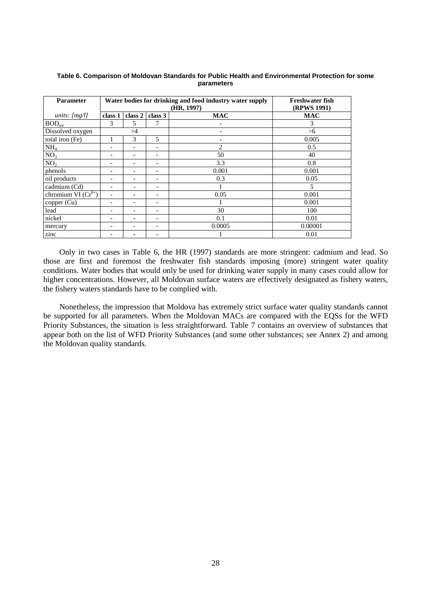| <b>Parameter</b>                          |                               | Water bodies for drinking and food industry water supply | Freshwater fish<br>(RPWS 1991) |                |            |
|-------------------------------------------|-------------------------------|----------------------------------------------------------|--------------------------------|----------------|------------|
| units: $[mg/l]$                           | class 2<br>class 3<br>class 1 |                                                          |                                | <b>MAC</b>     | <b>MAC</b> |
| $BOD_{\text{tot}}$                        | 3                             | 5                                                        |                                |                | 3          |
| Dissolved oxygen                          |                               | >4                                                       |                                |                | >6         |
| total iron (Fe)                           |                               | 3                                                        | 5                              |                | 0.005      |
| NH <sub>4</sub>                           |                               |                                                          |                                | $\mathfrak{D}$ | 0.5        |
| NO <sub>3</sub>                           |                               |                                                          |                                | 50             | 40         |
| NO <sub>2</sub>                           |                               |                                                          |                                | 3.3            | 0.8        |
| phenols                                   |                               |                                                          |                                | 0.001          | 0.001      |
| oil products                              |                               |                                                          |                                | 0.3            | 0.05       |
| cadmium (Cd)                              | -                             |                                                          |                                |                | 5          |
| chromium VI $(\overline{\text{Cr}}^{6+})$ |                               |                                                          |                                | 0.05           | 0.001      |
| copper (Cu)                               | $\overline{\phantom{a}}$      |                                                          |                                |                | 0.001      |
| lead                                      |                               |                                                          |                                | 30             | 100        |
| nickel                                    |                               |                                                          |                                | 0.1            | 0.01       |
| mercury                                   |                               |                                                          |                                | 0.0005         | 0.00001    |
| zinc                                      |                               |                                                          |                                |                | 0.01       |

#### **Table 6. Comparison of Moldovan Standards for Public Health and Environmental Protection for some parameters**

Only in two cases in Table 6, the HR (1997) standards are more stringent: cadmium and lead. So those are first and foremost the freshwater fish standards imposing (more) stringent water quality conditions. Water bodies that would only be used for drinking water supply in many cases could allow for higher concentrations. However, all Moldovan surface waters are effectively designated as fishery waters, the fishery waters standards have to be complied with.

Nonetheless, the impression that Moldova has extremely strict surface water quality standards cannot be supported for all parameters. When the Moldovan MACs are compared with the EQSs for the WFD Priority Substances, the situation is less straightforward. Table 7 contains an overview of substances that appear both on the list of WFD Priority Substances (and some other substances; see Annex 2) and among the Moldovan quality standards.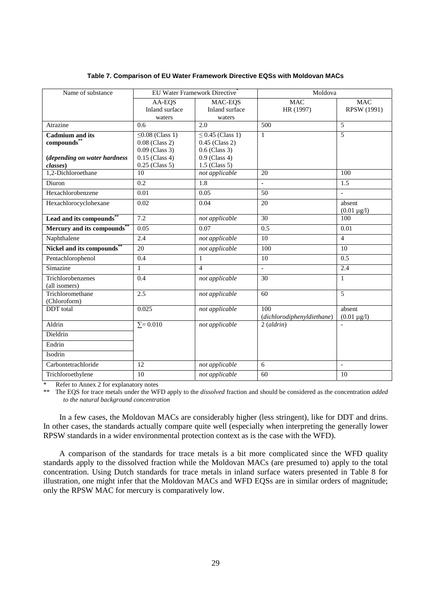| Name of substance                                                                 |                                                                                                       | EU Water Framework Directive <sup>®</sup>                                                          | Moldova                           |                              |
|-----------------------------------------------------------------------------------|-------------------------------------------------------------------------------------------------------|----------------------------------------------------------------------------------------------------|-----------------------------------|------------------------------|
|                                                                                   | AA-EQS<br>Inland surface<br>waters                                                                    | MAC-EOS<br>Inland surface<br>waters                                                                | <b>MAC</b><br>HR (1997)           | <b>MAC</b><br>RPSW (1991)    |
| Atrazine                                                                          | 0.6                                                                                                   | 2.0                                                                                                | 500                               | $\overline{5}$               |
| <b>Cadmium</b> and its<br>compounds**<br>(depending on water hardness<br>classes) | $\leq$ 0.08 (Class 1)<br>$0.08$ (Class 2)<br>$0.09$ (Class 3)<br>$0.15$ (Class 4)<br>$0.25$ (Class 5) | $\leq$ 0.45 (Class 1)<br>$0.45$ (Class 2)<br>$0.6$ (Class 3)<br>$0.9$ (Class 4)<br>$1.5$ (Class 5) | $\mathbf{1}$                      | $\overline{5}$               |
| 1,2-Dichloroethane                                                                | 10                                                                                                    | not applicable                                                                                     | 20                                | 100                          |
| Diuron                                                                            | $\overline{0.2}$                                                                                      | $\overline{1.8}$                                                                                   |                                   | 1.5                          |
| Hexachlorobenzene                                                                 | 0.01                                                                                                  | 0.05                                                                                               | 50                                | $\overline{a}$               |
| Hexachlorocyclohexane                                                             | 0.02                                                                                                  | 0.04                                                                                               | 20                                | absent<br>$(0.01 \,\mu g/l)$ |
| Lead and its compounds"                                                           | 7.2                                                                                                   | not applicable                                                                                     | 30                                | 100                          |
| Mercury and its compounds**                                                       | 0.05                                                                                                  | 0.07                                                                                               | 0.5                               | 0.01                         |
| Naphthalene                                                                       | 2.4                                                                                                   | not applicable                                                                                     | 10                                | $\overline{4}$               |
| Nickel and its compounds"                                                         | 20                                                                                                    | not applicable                                                                                     | 100                               | 10                           |
| Pentachlorophenol                                                                 | 0.4                                                                                                   | $\mathbf{1}$                                                                                       | 10                                | 0.5                          |
| Simazine                                                                          | 1                                                                                                     | $\overline{4}$                                                                                     | $\mathbb{Z}^2$                    | 2.4                          |
| Trichlorobenzenes<br>(all isomers)                                                | 0.4                                                                                                   | not applicable                                                                                     | 30                                | $\mathbf{1}$                 |
| Trichloromethane<br>(Chloroform)                                                  | 2.5                                                                                                   | not applicable                                                                                     | 60                                | 5                            |
| <b>DDT</b> total                                                                  | 0.025                                                                                                 | not applicable                                                                                     | 100<br>(dichlorodiphenyldiethane) | absent<br>$(0.01 \mu g/l)$   |
| Aldrin                                                                            | $\Sigma = 0.010$                                                                                      | not applicable                                                                                     | $2$ (aldrin)                      |                              |
| Dieldrin                                                                          |                                                                                                       |                                                                                                    |                                   |                              |
| Endrin                                                                            |                                                                                                       |                                                                                                    |                                   |                              |
| Isodrin                                                                           |                                                                                                       |                                                                                                    |                                   |                              |
| Carbontetrachloride                                                               | 12                                                                                                    | not applicable                                                                                     | 6                                 | $\overline{\phantom{a}}$     |
| Trichloroethylene                                                                 | 10                                                                                                    | not applicable                                                                                     | 60                                | 10                           |

#### **Table 7. Comparison of EU Water Framework Directive EQSs with Moldovan MACs**

Refer to Annex 2 for explanatory notes

\*\* The EQS for trace metals under the WFD apply to the *dissolved* fraction and should be considered as the concentration *added to the natural background concentration*

In a few cases, the Moldovan MACs are considerably higher (less stringent), like for DDT and drins. In other cases, the standards actually compare quite well (especially when interpreting the generally lower RPSW standards in a wider environmental protection context as is the case with the WFD).

A comparison of the standards for trace metals is a bit more complicated since the WFD quality standards apply to the dissolved fraction while the Moldovan MACs (are presumed to) apply to the total concentration. Using Dutch standards for trace metals in inland surface waters presented in Table 8 for illustration, one might infer that the Moldovan MACs and WFD EQSs are in similar orders of magnitude; only the RPSW MAC for mercury is comparatively low.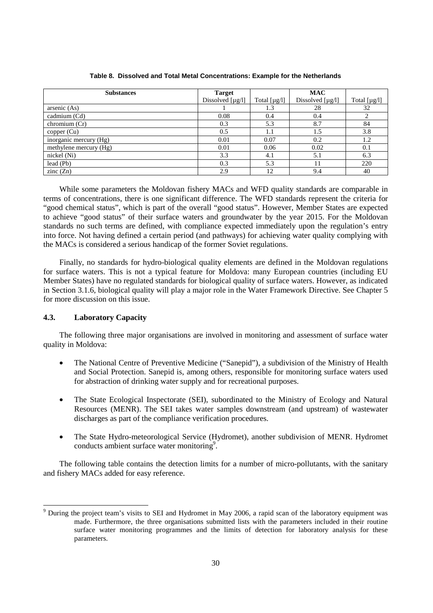| <b>Substances</b>      | <b>Target</b>                     |                   | <b>MAC</b>            |              |
|------------------------|-----------------------------------|-------------------|-----------------------|--------------|
|                        | Dissolved $\lceil \mu g/l \rceil$ | Total $[\mu g/l]$ | Dissolved $[\mu g/l]$ | Total [µg/l] |
| arsenic (As)           |                                   | 1.3               | 28                    | 32           |
| cadmium (Cd)           | 0.08                              | 0.4               | 0.4                   |              |
| chromium (Cr)          | 0.3                               | 5.3               | 8.7                   | 84           |
| copper (Cu)            | 0.5                               | 1.1               | 1.5                   | 3.8          |
| inorganic mercury (Hg) | 0.01                              | 0.07              | 0.2                   | 1.2          |
| methylene mercury (Hg) | 0.01                              | 0.06              | 0.02                  | 0.1          |
| nickel (Ni)            | 3.3                               | 4.1               | 5.1                   | 6.3          |
| lead (Pb)              | 0.3                               | 5.3               |                       | 220          |
| zinc $(Zn)$            | 2.9                               | 12                | 9.4                   | 40           |

#### **Table 8. Dissolved and Total Metal Concentrations: Example for the Netherlands**

While some parameters the Moldovan fishery MACs and WFD quality standards are comparable in terms of concentrations, there is one significant difference. The WFD standards represent the criteria for "good chemical status", which is part of the overall "good status". However, Member States are expected to achieve "good status" of their surface waters and groundwater by the year 2015. For the Moldovan standards no such terms are defined, with compliance expected immediately upon the regulation's entry into force. Not having defined a certain period (and pathways) for achieving water quality complying with the MACs is considered a serious handicap of the former Soviet regulations.

Finally, no standards for hydro-biological quality elements are defined in the Moldovan regulations for surface waters. This is not a typical feature for Moldova: many European countries (including EU Member States) have no regulated standards for biological quality of surface waters. However, as indicated in Section 3.1.6, biological quality will play a major role in the Water Framework Directive. See Chapter 5 for more discussion on this issue.

## **4.3. Laboratory Capacity**

 $\overline{a}$ 

The following three major organisations are involved in monitoring and assessment of surface water quality in Moldova:

- The National Centre of Preventive Medicine ("Sanepid"), a subdivision of the Ministry of Health and Social Protection. Sanepid is, among others, responsible for monitoring surface waters used for abstraction of drinking water supply and for recreational purposes.
- The State Ecological Inspectorate (SEI), subordinated to the Ministry of Ecology and Natural Resources (MENR). The SEI takes water samples downstream (and upstream) of wastewater discharges as part of the compliance verification procedures.
- The State Hydro-meteorological Service (Hydromet), another subdivision of MENR. Hydromet conducts ambient surface water monitoring<sup>9</sup>.

The following table contains the detection limits for a number of micro-pollutants, with the sanitary and fishery MACs added for easy reference.

<sup>9</sup> During the project team's visits to SEI and Hydromet in May 2006, a rapid scan of the laboratory equipment was made. Furthermore, the three organisations submitted lists with the parameters included in their routine surface water monitoring programmes and the limits of detection for laboratory analysis for these parameters.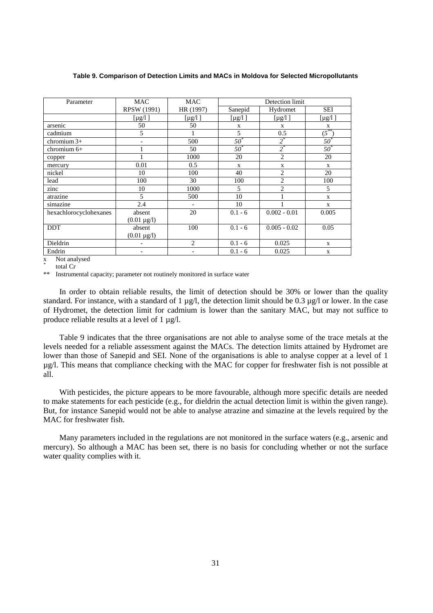| Parameter              | MAC                      | <b>MAC</b>               | Detection limit |                |                   |  |  |
|------------------------|--------------------------|--------------------------|-----------------|----------------|-------------------|--|--|
|                        | <b>RPSW</b> (1991)       | HR (1997)                | Sanepid         | Hydromet       | <b>SEI</b>        |  |  |
|                        | $[\mu g/l]$              | [ $\mu$ g/l]             | $[\mu g/l]$     | [ $\mu$ g/l]   | [ $\mu$ g/l]      |  |  |
| arsenic                | 50                       | 50                       | X               | $\mathbf X$    | $\mathbf X$       |  |  |
| cadmium                | 5                        | 1                        | 5               | 0.5            | $\sqrt{5}^{**}$   |  |  |
| chromium $3+$          | $\overline{\phantom{a}}$ | 500                      | $50^*$          | $2^*$          | $\overline{50}^*$ |  |  |
| chromium 6+            |                          | 50                       | $50^*$          | $2^*$          | $50^{*}$          |  |  |
| copper                 |                          | 1000                     | 20              | $\overline{2}$ | 20                |  |  |
| mercury                | 0.01                     | 0.5                      | $\mathbf{x}$    | X              | $\mathbf{X}$      |  |  |
| nickel                 | 10                       | 100                      | 40              | $\overline{2}$ | 20                |  |  |
| lead                   | 100                      | 30                       | 100             | $\overline{c}$ | 100               |  |  |
| zinc                   | 10                       | 1000                     | 5               | $\overline{2}$ | 5                 |  |  |
| atrazine               | 5                        | 500                      | 10              |                | $\mathbf{x}$      |  |  |
| simazine               | 2.4                      | $\overline{\phantom{a}}$ | 10              |                | X                 |  |  |
| hexachlorocyclohexanes | absent                   | 20                       | $0.1 - 6$       | $0.002 - 0.01$ | 0.005             |  |  |
|                        | $(0.01 \,\mu g/l)$       |                          |                 |                |                   |  |  |
| <b>DDT</b>             | absent                   | 100                      | $0.1 - 6$       | $0.005 - 0.02$ | 0.05              |  |  |
|                        | $(0.01 \,\mu g/l)$       |                          |                 |                |                   |  |  |
| Dieldrin               |                          | $\overline{2}$           | $0.1 - 6$       | 0.025          | X                 |  |  |
| Endrin                 | $\overline{\phantom{a}}$ | -                        | $0.1 - 6$       | 0.025          | X                 |  |  |

**Table 9. Comparison of Detection Limits and MACs in Moldova for Selected Micropollutants** 

x Not analysed

*\**  $\frac{1}{2}$  total Cr

Instrumental capacity; parameter not routinely monitored in surface water

In order to obtain reliable results, the limit of detection should be 30% or lower than the quality standard. For instance, with a standard of 1 µg/l, the detection limit should be 0.3 µg/l or lower. In the case of Hydromet, the detection limit for cadmium is lower than the sanitary MAC, but may not suffice to produce reliable results at a level of 1  $\mu$ g/l.

Table 9 indicates that the three organisations are not able to analyse some of the trace metals at the levels needed for a reliable assessment against the MACs. The detection limits attained by Hydromet are lower than those of Sanepid and SEI. None of the organisations is able to analyse copper at a level of 1 µg/l. This means that compliance checking with the MAC for copper for freshwater fish is not possible at all.

With pesticides, the picture appears to be more favourable, although more specific details are needed to make statements for each pesticide (e.g., for dieldrin the actual detection limit is within the given range). But, for instance Sanepid would not be able to analyse atrazine and simazine at the levels required by the MAC for freshwater fish.

Many parameters included in the regulations are not monitored in the surface waters (e.g., arsenic and mercury). So although a MAC has been set, there is no basis for concluding whether or not the surface water quality complies with it.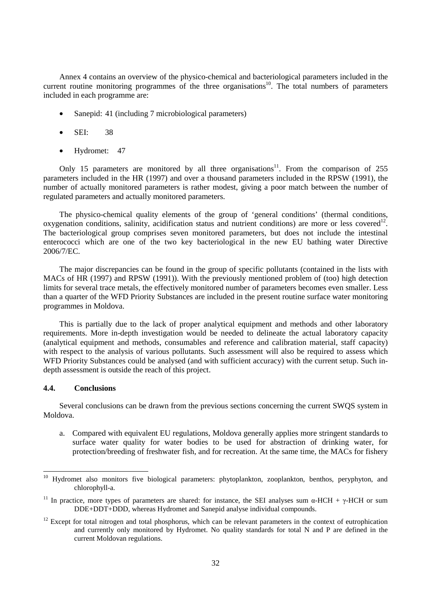Annex 4 contains an overview of the physico-chemical and bacteriological parameters included in the current routine monitoring programmes of the three organisations<sup>10</sup>. The total numbers of parameters included in each programme are:

- Sanepid: 41 (including 7 microbiological parameters)
- SEI: 38
- Hydromet: 47

Only 15 parameters are monitored by all three organisations<sup>11</sup>. From the comparison of 255 parameters included in the HR (1997) and over a thousand parameters included in the RPSW (1991), the number of actually monitored parameters is rather modest, giving a poor match between the number of regulated parameters and actually monitored parameters.

The physico-chemical quality elements of the group of 'general conditions' (thermal conditions, oxygenation conditions, salinity, acidification status and nutrient conditions) are more or less covered<sup>12</sup>. The bacteriological group comprises seven monitored parameters, but does not include the intestinal enterococci which are one of the two key bacteriological in the new EU bathing water Directive 2006/7/EC.

The major discrepancies can be found in the group of specific pollutants (contained in the lists with MACs of HR (1997) and RPSW (1991)). With the previously mentioned problem of (too) high detection limits for several trace metals, the effectively monitored number of parameters becomes even smaller. Less than a quarter of the WFD Priority Substances are included in the present routine surface water monitoring programmes in Moldova.

This is partially due to the lack of proper analytical equipment and methods and other laboratory requirements. More in-depth investigation would be needed to delineate the actual laboratory capacity (analytical equipment and methods, consumables and reference and calibration material, staff capacity) with respect to the analysis of various pollutants. Such assessment will also be required to assess which WFD Priority Substances could be analysed (and with sufficient accuracy) with the current setup. Such indepth assessment is outside the reach of this project.

## **4.4. Conclusions**

Several conclusions can be drawn from the previous sections concerning the current SWQS system in Moldova.

a. Compared with equivalent EU regulations, Moldova generally applies more stringent standards to surface water quality for water bodies to be used for abstraction of drinking water, for protection/breeding of freshwater fish, and for recreation. At the same time, the MACs for fishery

 $10\,$ Hydromet also monitors five biological parameters: phytoplankton, zooplankton, benthos, peryphyton, and chlorophyll-a.

<sup>&</sup>lt;sup>11</sup> In practice, more types of parameters are shared: for instance, the SEI analyses sum  $\alpha$ -HCH +  $\gamma$ -HCH or sum DDE+DDT+DDD, whereas Hydromet and Sanepid analyse individual compounds.

 $12$  Except for total nitrogen and total phosphorus, which can be relevant parameters in the context of eutrophication and currently only monitored by Hydromet. No quality standards for total N and P are defined in the current Moldovan regulations.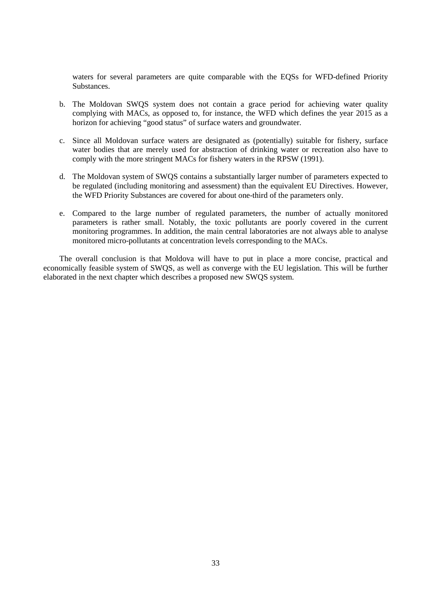waters for several parameters are quite comparable with the EQSs for WFD-defined Priority Substances.

- b. The Moldovan SWQS system does not contain a grace period for achieving water quality complying with MACs, as opposed to, for instance, the WFD which defines the year 2015 as a horizon for achieving "good status" of surface waters and groundwater.
- c. Since all Moldovan surface waters are designated as (potentially) suitable for fishery, surface water bodies that are merely used for abstraction of drinking water or recreation also have to comply with the more stringent MACs for fishery waters in the RPSW (1991).
- d. The Moldovan system of SWQS contains a substantially larger number of parameters expected to be regulated (including monitoring and assessment) than the equivalent EU Directives. However, the WFD Priority Substances are covered for about one-third of the parameters only.
- e. Compared to the large number of regulated parameters, the number of actually monitored parameters is rather small. Notably, the toxic pollutants are poorly covered in the current monitoring programmes. In addition, the main central laboratories are not always able to analyse monitored micro-pollutants at concentration levels corresponding to the MACs.

The overall conclusion is that Moldova will have to put in place a more concise, practical and economically feasible system of SWQS, as well as converge with the EU legislation. This will be further elaborated in the next chapter which describes a proposed new SWQS system.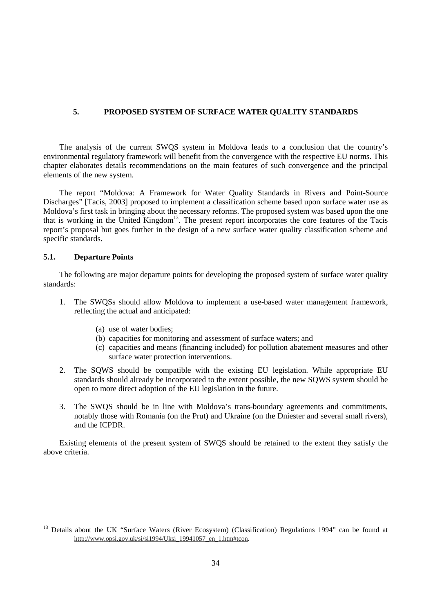## **5. PROPOSED SYSTEM OF SURFACE WATER QUALITY STANDARDS**

The analysis of the current SWQS system in Moldova leads to a conclusion that the country's environmental regulatory framework will benefit from the convergence with the respective EU norms. This chapter elaborates details recommendations on the main features of such convergence and the principal elements of the new system.

The report "Moldova: A Framework for Water Quality Standards in Rivers and Point-Source Discharges" [Tacis, 2003] proposed to implement a classification scheme based upon surface water use as Moldova's first task in bringing about the necessary reforms. The proposed system was based upon the one that is working in the United Kingdom<sup>13</sup>. The present report incorporates the core features of the Tacis report's proposal but goes further in the design of a new surface water quality classification scheme and specific standards.

#### **5.1. Departure Points**

 $\overline{a}$ 

The following are major departure points for developing the proposed system of surface water quality standards:

- 1. The SWQSs should allow Moldova to implement a use-based water management framework, reflecting the actual and anticipated:
	- (a) use of water bodies;
	- (b) capacities for monitoring and assessment of surface waters; and
	- (c) capacities and means (financing included) for pollution abatement measures and other surface water protection interventions.
- 2. The SQWS should be compatible with the existing EU legislation. While appropriate EU standards should already be incorporated to the extent possible, the new SQWS system should be open to more direct adoption of the EU legislation in the future.
- 3. The SWQS should be in line with Moldova's trans-boundary agreements and commitments, notably those with Romania (on the Prut) and Ukraine (on the Dniester and several small rivers), and the ICPDR.

Existing elements of the present system of SWQS should be retained to the extent they satisfy the above criteria.

<sup>&</sup>lt;sup>13</sup> Details about the UK "Surface Waters (River Ecosystem) (Classification) Regulations 1994" can be found at http://www.opsi.gov.uk/si/si1994/Uksi\_19941057\_en\_1.htm#tcon.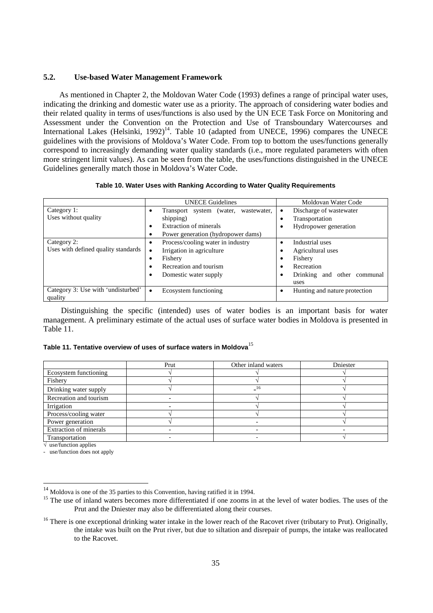## **5.2. Use-based Water Management Framework**

As mentioned in Chapter 2, the Moldovan Water Code (1993) defines a range of principal water uses, indicating the drinking and domestic water use as a priority. The approach of considering water bodies and their related quality in terms of uses/functions is also used by the UN ECE Task Force on Monitoring and Assessment under the Convention on the Protection and Use of Transboundary Watercourses and International Lakes (Helsinki,  $1992$ <sup>14</sup>. Table 10 (adapted from UNECE, 1996) compares the UNECE guidelines with the provisions of Moldova's Water Code. From top to bottom the uses/functions generally correspond to increasingly demanding water quality standards (i.e., more regulated parameters with often more stringent limit values). As can be seen from the table, the uses/functions distinguished in the UNECE Guidelines generally match those in Moldova's Water Code.

#### **Table 10. Water Uses with Ranking According to Water Quality Requirements**

|                                                    | <b>UNECE</b> Guidelines                                                                                                                               | Moldovan Water Code                                                                                  |
|----------------------------------------------------|-------------------------------------------------------------------------------------------------------------------------------------------------------|------------------------------------------------------------------------------------------------------|
| Category 1:<br>Uses without quality                | Transport system (water, wastewater,<br>٠<br>shipping)<br>Extraction of minerals<br>٠<br>Power generation (hydropower dams)<br>٠                      | Discharge of wastewater<br>Transportation<br>Hydropower generation                                   |
| Category 2:<br>Uses with defined quality standards | Process/cooling water in industry<br>٠<br>Irrigation in agriculture<br>٠<br>Fishery<br>٠<br>Recreation and tourism<br>٠<br>Domestic water supply<br>٠ | Industrial uses<br>Agricultural uses<br>Fishery<br>Recreation<br>Drinking and other communal<br>uses |
| Category 3: Use with 'undisturbed'<br>quality      | Ecosystem functioning<br>$\bullet$                                                                                                                    | Hunting and nature protection<br>٠                                                                   |

Distinguishing the specific (intended) uses of water bodies is an important basis for water management. A preliminary estimate of the actual uses of surface water bodies in Moldova is presented in Table 11.

## **Table 11. Tentative overview of uses of surface waters in Moldova**<sup>15</sup>

|                               | Prut | Other inland waters | Dniester |
|-------------------------------|------|---------------------|----------|
| Ecosystem functioning         |      |                     |          |
| Fishery                       |      |                     |          |
| Drinking water supply         |      |                     |          |
| Recreation and tourism        |      |                     |          |
| Irrigation                    |      |                     |          |
| Process/cooling water         |      |                     |          |
| Power generation              |      |                     |          |
| <b>Extraction of minerals</b> |      |                     |          |
| Transportation                |      |                     |          |

 $\sqrt{\ }$  use/function applies

 $\overline{a}$ 

- use/function does not apply

<sup>14</sup> Moldova is one of the 35 parties to this Convention, having ratified it in 1994.

<sup>&</sup>lt;sup>15</sup> The use of inland waters becomes more differentiated if one zooms in at the level of water bodies. The uses of the Prut and the Dniester may also be differentiated along their courses.

 $16$  There is one exceptional drinking water intake in the lower reach of the Racovet river (tributary to Prut). Originally, the intake was built on the Prut river, but due to siltation and disrepair of pumps, the intake was reallocated to the Racovet.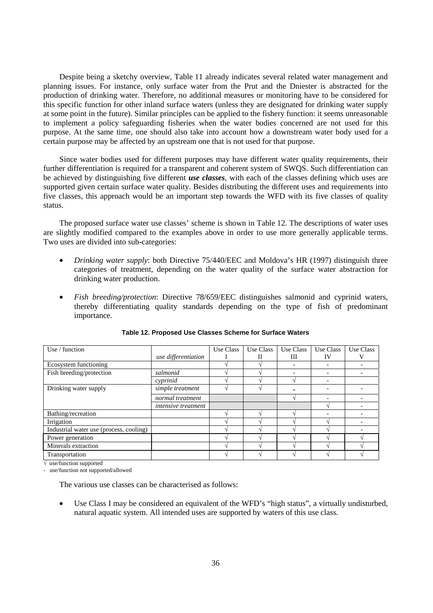Despite being a sketchy overview, Table 11 already indicates several related water management and planning issues. For instance, only surface water from the Prut and the Dniester is abstracted for the production of drinking water. Therefore, no additional measures or monitoring have to be considered for this specific function for other inland surface waters (unless they are designated for drinking water supply at some point in the future). Similar principles can be applied to the fishery function: it seems unreasonable to implement a policy safeguarding fisheries when the water bodies concerned are not used for this purpose. At the same time, one should also take into account how a downstream water body used for a certain purpose may be affected by an upstream one that is not used for that purpose.

Since water bodies used for different purposes may have different water quality requirements, their further differentiation is required for a transparent and coherent system of SWQS. Such differentiation can be achieved by distinguishing five different *use classes*, with each of the classes defining which uses are supported given certain surface water quality. Besides distributing the different uses and requirements into five classes, this approach would be an important step towards the WFD with its five classes of quality status.

The proposed surface water use classes' scheme is shown in Table 12. The descriptions of water uses are slightly modified compared to the examples above in order to use more generally applicable terms. Two uses are divided into sub-categories:

- *Drinking water supply*: both Directive 75/440/EEC and Moldova's HR (1997) distinguish three categories of treatment, depending on the water quality of the surface water abstraction for drinking water production.
- *Fish breeding/protection*: Directive 78/659/EEC distinguishes salmonid and cyprinid waters, thereby differentiating quality standards depending on the type of fish of predominant importance.

| Use / function                          |                            | Use Class | Use Class | Use Class | Use Class                | Use Class |
|-----------------------------------------|----------------------------|-----------|-----------|-----------|--------------------------|-----------|
|                                         | use differentiation        |           | П         | Ш         | IV                       |           |
| Ecosystem functioning                   |                            |           |           |           |                          |           |
| Fish breeding/protection                | salmonid                   |           |           |           |                          |           |
|                                         | cyprinid                   |           |           |           | $\overline{\phantom{0}}$ |           |
| Drinking water supply                   | simple treatment           |           |           |           |                          |           |
|                                         | normal treatment           |           |           |           |                          |           |
|                                         | <i>intensive treatment</i> |           |           |           |                          |           |
| Bathing/recreation                      |                            |           |           |           |                          |           |
| Irrigation                              |                            |           |           |           |                          |           |
| Industrial water use (process, cooling) |                            |           |           |           |                          |           |
| Power generation                        |                            |           |           |           |                          |           |
| Minerals extraction                     |                            |           |           |           |                          |           |
| Transportation                          |                            |           |           |           |                          |           |

#### **Table 12. Proposed Use Classes Scheme for Surface Waters**

√ use/function supported

use/function not supported/allowed

The various use classes can be characterised as follows:

• Use Class I may be considered an equivalent of the WFD's "high status", a virtually undisturbed, natural aquatic system. All intended uses are supported by waters of this use class.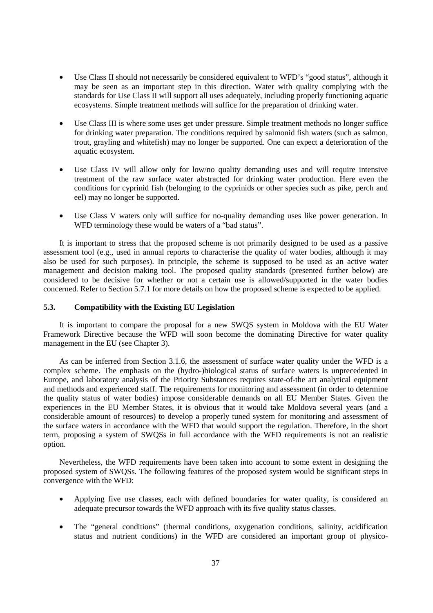- Use Class II should not necessarily be considered equivalent to WFD's "good status", although it may be seen as an important step in this direction. Water with quality complying with the standards for Use Class II will support all uses adequately, including properly functioning aquatic ecosystems. Simple treatment methods will suffice for the preparation of drinking water.
- Use Class III is where some uses get under pressure. Simple treatment methods no longer suffice for drinking water preparation. The conditions required by salmonid fish waters (such as salmon, trout, grayling and whitefish) may no longer be supported. One can expect a deterioration of the aquatic ecosystem.
- Use Class IV will allow only for low/no quality demanding uses and will require intensive treatment of the raw surface water abstracted for drinking water production. Here even the conditions for cyprinid fish (belonging to the cyprinids or other species such as pike, perch and eel) may no longer be supported.
- Use Class V waters only will suffice for no-quality demanding uses like power generation. In WFD terminology these would be waters of a "bad status".

It is important to stress that the proposed scheme is not primarily designed to be used as a passive assessment tool (e.g., used in annual reports to characterise the quality of water bodies, although it may also be used for such purposes). In principle, the scheme is supposed to be used as an active water management and decision making tool. The proposed quality standards (presented further below) are considered to be decisive for whether or not a certain use is allowed/supported in the water bodies concerned. Refer to Section 5.7.1 for more details on how the proposed scheme is expected to be applied.

## **5.3. Compatibility with the Existing EU Legislation**

It is important to compare the proposal for a new SWQS system in Moldova with the EU Water Framework Directive because the WFD will soon become the dominating Directive for water quality management in the EU (see Chapter 3).

As can be inferred from Section 3.1.6, the assessment of surface water quality under the WFD is a complex scheme. The emphasis on the (hydro-)biological status of surface waters is unprecedented in Europe, and laboratory analysis of the Priority Substances requires state-of-the art analytical equipment and methods and experienced staff. The requirements for monitoring and assessment (in order to determine the quality status of water bodies) impose considerable demands on all EU Member States. Given the experiences in the EU Member States, it is obvious that it would take Moldova several years (and a considerable amount of resources) to develop a properly tuned system for monitoring and assessment of the surface waters in accordance with the WFD that would support the regulation. Therefore, in the short term, proposing a system of SWQSs in full accordance with the WFD requirements is not an realistic option.

Nevertheless, the WFD requirements have been taken into account to some extent in designing the proposed system of SWQSs. The following features of the proposed system would be significant steps in convergence with the WFD:

- Applying five use classes, each with defined boundaries for water quality, is considered an adequate precursor towards the WFD approach with its five quality status classes.
- The "general conditions" (thermal conditions, oxygenation conditions, salinity, acidification status and nutrient conditions) in the WFD are considered an important group of physico-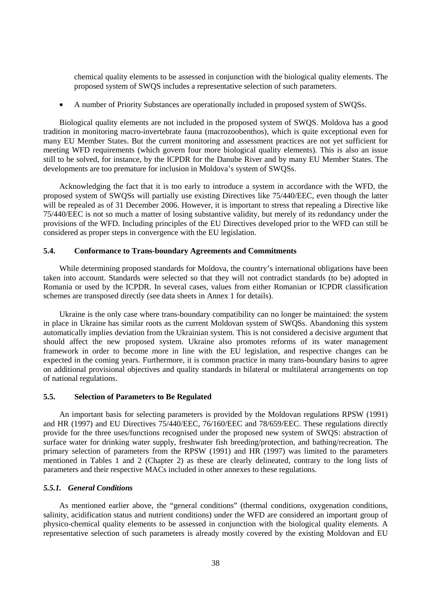chemical quality elements to be assessed in conjunction with the biological quality elements. The proposed system of SWQS includes a representative selection of such parameters.

• A number of Priority Substances are operationally included in proposed system of SWQSs.

Biological quality elements are not included in the proposed system of SWQS. Moldova has a good tradition in monitoring macro-invertebrate fauna (macrozoobenthos), which is quite exceptional even for many EU Member States. But the current monitoring and assessment practices are not yet sufficient for meeting WFD requirements (which govern four more biological quality elements). This is also an issue still to be solved, for instance, by the ICPDR for the Danube River and by many EU Member States. The developments are too premature for inclusion in Moldova's system of SWQSs.

Acknowledging the fact that it is too early to introduce a system in accordance with the WFD, the proposed system of SWQSs will partially use existing Directives like 75/440/EEC, even though the latter will be repealed as of 31 December 2006. However, it is important to stress that repealing a Directive like 75/440/EEC is not so much a matter of losing substantive validity, but merely of its redundancy under the provisions of the WFD. Including principles of the EU Directives developed prior to the WFD can still be considered as proper steps in convergence with the EU legislation.

## **5.4. Conformance to Trans-boundary Agreements and Commitments**

While determining proposed standards for Moldova, the country's international obligations have been taken into account. Standards were selected so that they will not contradict standards (to be) adopted in Romania or used by the ICPDR. In several cases, values from either Romanian or ICPDR classification schemes are transposed directly (see data sheets in Annex 1 for details).

Ukraine is the only case where trans-boundary compatibility can no longer be maintained: the system in place in Ukraine has similar roots as the current Moldovan system of SWQSs. Abandoning this system automatically implies deviation from the Ukrainian system. This is not considered a decisive argument that should affect the new proposed system. Ukraine also promotes reforms of its water management framework in order to become more in line with the EU legislation, and respective changes can be expected in the coming years. Furthermore, it is common practice in many trans-boundary basins to agree on additional provisional objectives and quality standards in bilateral or multilateral arrangements on top of national regulations.

## **5.5. Selection of Parameters to Be Regulated**

An important basis for selecting parameters is provided by the Moldovan regulations RPSW (1991) and HR (1997) and EU Directives 75/440/EEC, 76/160/EEC and 78/659/EEC. These regulations directly provide for the three uses/functions recognised under the proposed new system of SWQS: abstraction of surface water for drinking water supply, freshwater fish breeding/protection, and bathing/recreation. The primary selection of parameters from the RPSW (1991) and HR (1997) was limited to the parameters mentioned in Tables 1 and 2 (Chapter 2) as these are clearly delineated, contrary to the long lists of parameters and their respective MACs included in other annexes to these regulations.

#### *5.5.1. General Conditions*

As mentioned earlier above, the "general conditions" (thermal conditions, oxygenation conditions, salinity, acidification status and nutrient conditions) under the WFD are considered an important group of physico-chemical quality elements to be assessed in conjunction with the biological quality elements. A representative selection of such parameters is already mostly covered by the existing Moldovan and EU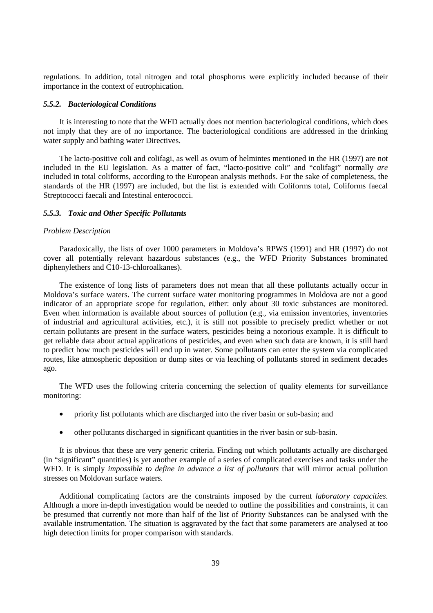regulations. In addition, total nitrogen and total phosphorus were explicitly included because of their importance in the context of eutrophication.

#### *5.5.2. Bacteriological Conditions*

It is interesting to note that the WFD actually does not mention bacteriological conditions, which does not imply that they are of no importance. The bacteriological conditions are addressed in the drinking water supply and bathing water Directives.

The lacto-positive coli and colifagi, as well as ovum of helmintes mentioned in the HR (1997) are not included in the EU legislation. As a matter of fact, "lacto-positive coli" and "colifagi" normally *are* included in total coliforms, according to the European analysis methods. For the sake of completeness, the standards of the HR (1997) are included, but the list is extended with Coliforms total, Coliforms faecal Streptococci faecali and Intestinal enterococci.

#### *5.5.3. Toxic and Other Specific Pollutants*

#### *Problem Description*

Paradoxically, the lists of over 1000 parameters in Moldova's RPWS (1991) and HR (1997) do not cover all potentially relevant hazardous substances (e.g., the WFD Priority Substances brominated diphenylethers and C10-13-chloroalkanes).

The existence of long lists of parameters does not mean that all these pollutants actually occur in Moldova's surface waters. The current surface water monitoring programmes in Moldova are not a good indicator of an appropriate scope for regulation, either: only about 30 toxic substances are monitored. Even when information is available about sources of pollution (e.g., via emission inventories, inventories of industrial and agricultural activities, etc.), it is still not possible to precisely predict whether or not certain pollutants are present in the surface waters, pesticides being a notorious example. It is difficult to get reliable data about actual applications of pesticides, and even when such data are known, it is still hard to predict how much pesticides will end up in water. Some pollutants can enter the system via complicated routes, like atmospheric deposition or dump sites or via leaching of pollutants stored in sediment decades ago.

The WFD uses the following criteria concerning the selection of quality elements for surveillance monitoring:

- priority list pollutants which are discharged into the river basin or sub-basin; and
- other pollutants discharged in significant quantities in the river basin or sub-basin.

It is obvious that these are very generic criteria. Finding out which pollutants actually are discharged (in "significant" quantities) is yet another example of a series of complicated exercises and tasks under the WFD. It is simply *impossible to define in advance a list of pollutants* that will mirror actual pollution stresses on Moldovan surface waters.

Additional complicating factors are the constraints imposed by the current *laboratory capacities*. Although a more in-depth investigation would be needed to outline the possibilities and constraints, it can be presumed that currently not more than half of the list of Priority Substances can be analysed with the available instrumentation. The situation is aggravated by the fact that some parameters are analysed at too high detection limits for proper comparison with standards.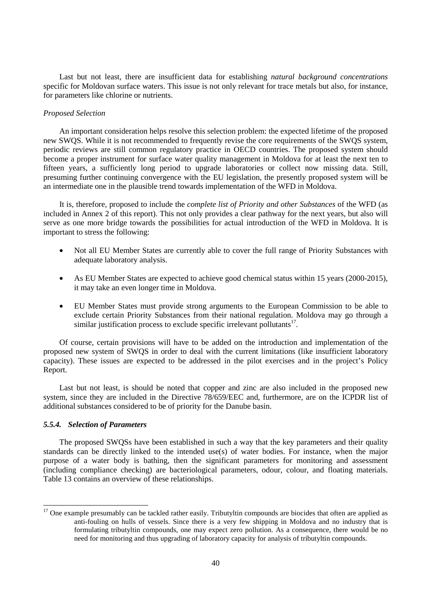Last but not least, there are insufficient data for establishing *natural background concentrations* specific for Moldovan surface waters. This issue is not only relevant for trace metals but also, for instance, for parameters like chlorine or nutrients.

#### *Proposed Selection*

An important consideration helps resolve this selection problem: the expected lifetime of the proposed new SWQS. While it is not recommended to frequently revise the core requirements of the SWQS system, periodic reviews are still common regulatory practice in OECD countries. The proposed system should become a proper instrument for surface water quality management in Moldova for at least the next ten to fifteen years, a sufficiently long period to upgrade laboratories or collect now missing data. Still, presuming further continuing convergence with the EU legislation, the presently proposed system will be an intermediate one in the plausible trend towards implementation of the WFD in Moldova.

It is, therefore, proposed to include the *complete list of Priority and other Substances* of the WFD (as included in Annex 2 of this report). This not only provides a clear pathway for the next years, but also will serve as one more bridge towards the possibilities for actual introduction of the WFD in Moldova. It is important to stress the following:

- Not all EU Member States are currently able to cover the full range of Priority Substances with adequate laboratory analysis.
- As EU Member States are expected to achieve good chemical status within 15 years (2000-2015), it may take an even longer time in Moldova.
- EU Member States must provide strong arguments to the European Commission to be able to exclude certain Priority Substances from their national regulation. Moldova may go through a similar justification process to exclude specific irrelevant pollutants $17$ .

Of course, certain provisions will have to be added on the introduction and implementation of the proposed new system of SWQS in order to deal with the current limitations (like insufficient laboratory capacity). These issues are expected to be addressed in the pilot exercises and in the project's Policy Report.

Last but not least, is should be noted that copper and zinc are also included in the proposed new system, since they are included in the Directive 78/659/EEC and, furthermore, are on the ICPDR list of additional substances considered to be of priority for the Danube basin.

## *5.5.4. Selection of Parameters*

 $\overline{a}$ 

The proposed SWQSs have been established in such a way that the key parameters and their quality standards can be directly linked to the intended use(s) of water bodies. For instance, when the major purpose of a water body is bathing, then the significant parameters for monitoring and assessment (including compliance checking) are bacteriological parameters, odour, colour, and floating materials. Table 13 contains an overview of these relationships.

<sup>&</sup>lt;sup>17</sup> One example presumably can be tackled rather easily. Tributyltin compounds are biocides that often are applied as anti-fouling on hulls of vessels. Since there is a very few shipping in Moldova and no industry that is formulating tributyltin compounds, one may expect zero pollution. As a consequence, there would be no need for monitoring and thus upgrading of laboratory capacity for analysis of tributyltin compounds.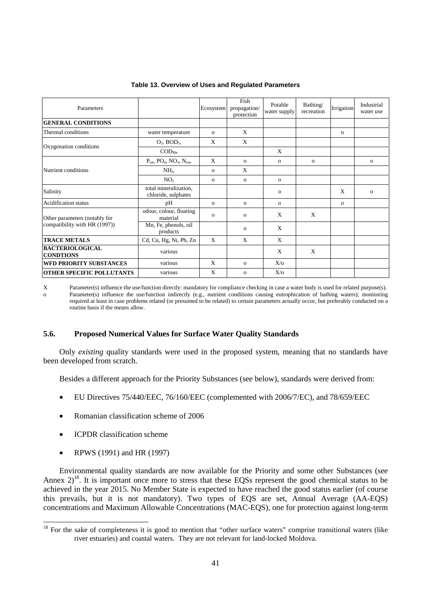| Parameters                                 |                                                         | Ecosystem    | Fish<br>propagation/<br>protection | Potable<br>water supply | Bathing/<br>recreation | Irrigation   | Industrial<br>water use |
|--------------------------------------------|---------------------------------------------------------|--------------|------------------------------------|-------------------------|------------------------|--------------|-------------------------|
| <b>GENERAL CONDITIONS</b>                  |                                                         |              |                                    |                         |                        |              |                         |
| Thermal conditions                         | water temperature                                       | $\Omega$     | X                                  |                         |                        | $\mathbf{o}$ |                         |
| Oxygenation conditions                     | $O_2$ , BOD <sub>5</sub> ,                              | X            | X                                  |                         |                        |              |                         |
|                                            | $\mathrm{COD}_\mathrm{Mn}$                              |              |                                    | X                       |                        |              |                         |
|                                            | $P_{\text{tot}}$ , $PO_4$ , $NO_3$ , $N_{\text{tot}}$ , | X            | $\Omega$                           | $\mathbf{O}$            | $\mathbf{O}$           |              | $\mathbf{o}$            |
| Nutrient conditions                        | NH <sub>4</sub>                                         | $\mathbf{O}$ | X                                  |                         |                        |              |                         |
|                                            | NO <sub>2</sub>                                         | $\mathbf{o}$ | $\mathbf{o}$                       | $\mathbf{O}$            |                        |              |                         |
| Salinity                                   | total mineralization,<br>chloride, sulphates            |              |                                    | $\mathbf{O}$            |                        | X            | $\Omega$                |
| <b>Acidification</b> status                | pH                                                      | $\Omega$     | $\Omega$                           | $\mathbf{o}$            |                        | $\mathbf{o}$ |                         |
| Other parameters (notably for              | odour, colour, floating<br>material                     | $\Omega$     | $\Omega$                           | X                       | X                      |              |                         |
| compatibility with HR (1997))              | Mn, Fe, phenols, oil<br>products                        |              | $\Omega$                           | X                       |                        |              |                         |
| <b>TRACE METALS</b>                        | Cd, Cu, Hg, Ni, Pb, Zn                                  | $\mathbf{x}$ | X                                  | X                       |                        |              |                         |
| <b>BACTERIOLOGICAL</b><br><b>CONDTIONS</b> | various                                                 |              |                                    | X                       | X                      |              |                         |
| <b>WFD PRIORITY SUBSTANCES</b>             | various                                                 | X            | $\Omega$                           | $X/\alpha$              |                        |              |                         |
| <b>OTHER SPECIFIC POLLUTANTS</b>           | various                                                 | X            | $\Omega$                           | $X$ /0                  |                        |              |                         |

#### **Table 13. Overview of Uses and Regulated Parameters**

X Parameter(s) influence the use/function directly: mandatory for compliance checking in case a water body is used for related purpose(s). o Parameter(s) influence the use/function indirectly (e.g., nutrient conditions causing eutrophication of bathing waters); monitoring required at least in case problems related (or presumed to be related) to certain parameters actually occur, but preferably conducted on a routine basis if the means allow.

## **5.6. Proposed Numerical Values for Surface Water Quality Standards**

Only *existing* quality standards were used in the proposed system, meaning that no standards have been developed from scratch.

Besides a different approach for the Priority Substances (see below), standards were derived from:

- EU Directives 75/440/EEC, 76/160/EEC (complemented with 2006/7/EC), and 78/659/EEC
- Romanian classification scheme of 2006
- ICPDR classification scheme
- RPWS (1991) and HR (1997)

 $\overline{a}$ 

Environmental quality standards are now available for the Priority and some other Substances (see Annex  $2^{18}$ . It is important once more to stress that these EQSs represent the good chemical status to be achieved in the year 2015. No Member State is expected to have reached the good status earlier (of course this prevails, but it is not mandatory). Two types of EQS are set, Annual Average (AA-EQS) concentrations and Maximum Allowable Concentrations (MAC-EQS), one for protection against long-term

 $18$  For the sake of completeness it is good to mention that "other surface waters" comprise transitional waters (like river estuaries) and coastal waters. They are not relevant for land-locked Moldova.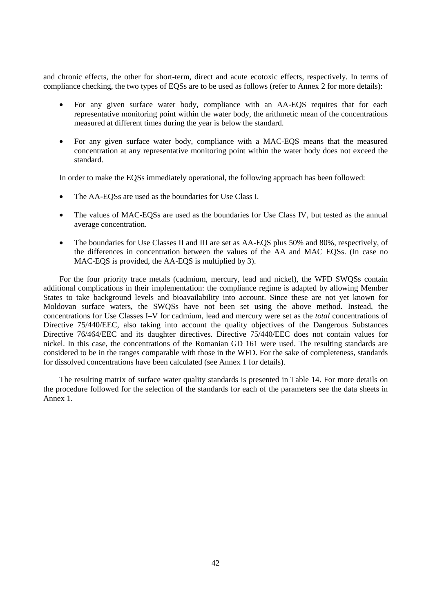and chronic effects, the other for short-term, direct and acute ecotoxic effects, respectively. In terms of compliance checking, the two types of EQSs are to be used as follows (refer to Annex 2 for more details):

- For any given surface water body, compliance with an AA-EQS requires that for each representative monitoring point within the water body, the arithmetic mean of the concentrations measured at different times during the year is below the standard.
- For any given surface water body, compliance with a MAC-EQS means that the measured concentration at any representative monitoring point within the water body does not exceed the standard.

In order to make the EQSs immediately operational, the following approach has been followed:

- The AA-EQSs are used as the boundaries for Use Class I.
- The values of MAC-EQSs are used as the boundaries for Use Class IV, but tested as the annual average concentration.
- The boundaries for Use Classes II and III are set as AA-EQS plus 50% and 80%, respectively, of the differences in concentration between the values of the AA and MAC EQSs. (In case no MAC-EQS is provided, the AA-EQS is multiplied by 3).

For the four priority trace metals (cadmium, mercury, lead and nickel), the WFD SWQSs contain additional complications in their implementation: the compliance regime is adapted by allowing Member States to take background levels and bioavailability into account. Since these are not yet known for Moldovan surface waters, the SWQSs have not been set using the above method. Instead, the concentrations for Use Classes I–V for cadmium, lead and mercury were set as the *total* concentrations of Directive 75/440/EEC, also taking into account the quality objectives of the Dangerous Substances Directive 76/464/EEC and its daughter directives. Directive 75/440/EEC does not contain values for nickel. In this case, the concentrations of the Romanian GD 161 were used. The resulting standards are considered to be in the ranges comparable with those in the WFD. For the sake of completeness, standards for dissolved concentrations have been calculated (see Annex 1 for details).

The resulting matrix of surface water quality standards is presented in Table 14. For more details on the procedure followed for the selection of the standards for each of the parameters see the data sheets in Annex 1.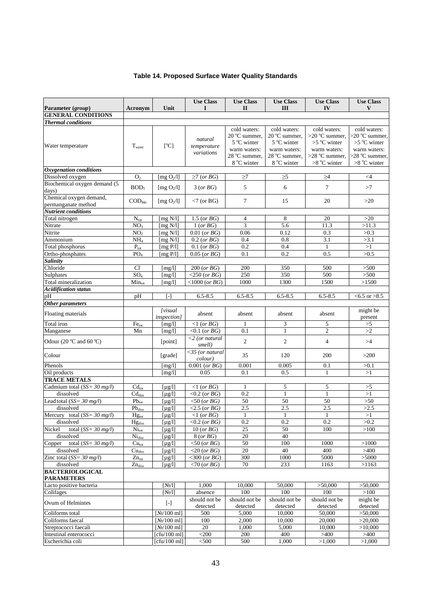## **Table 14. Proposed Surface Water Quality Standards**

| Parameter (group)                              | <b>Acronym</b>                       | Unit                                  | <b>Use Class</b><br>I                     | <b>Use Class</b><br>$\mathbf{H}$                                                                        | <b>Use Class</b><br>$\mathbf{H}$                                                                        | <b>Use Class</b><br>IV                                                                                 | <b>Use Class</b><br>V                                                                                         |
|------------------------------------------------|--------------------------------------|---------------------------------------|-------------------------------------------|---------------------------------------------------------------------------------------------------------|---------------------------------------------------------------------------------------------------------|--------------------------------------------------------------------------------------------------------|---------------------------------------------------------------------------------------------------------------|
| <b>GENERAL CONDITIONS</b>                      |                                      |                                       |                                           |                                                                                                         |                                                                                                         |                                                                                                        |                                                                                                               |
| <b>Thermal</b> conditions                      |                                      |                                       |                                           |                                                                                                         |                                                                                                         |                                                                                                        |                                                                                                               |
| Water temperature                              | $T_{\text{water}}$                   | [°C]                                  | natural<br>temperature<br>variations      | cold waters:<br>$20^{\circ}$ C summer,<br>5 °C winter<br>warm waters:<br>28 °C summer,<br>$8 °C$ winter | cold waters:<br>$20^{\circ}$ C summer,<br>5 °C winter<br>warm waters:<br>28 °C summer,<br>$8 °C$ winter | cold waters:<br>$>20$ °C summer.<br>$>5$ °C winter<br>warm waters:<br>$>28$ °C summer,<br>>8 °C winter | cold waters:<br>$>20\text{ °C}$ summer.<br>$>5$ °C winter<br>warm waters:<br>>28 °C summer,<br>$>8$ °C winter |
| Oxygenation conditions                         |                                      |                                       |                                           |                                                                                                         |                                                                                                         |                                                                                                        |                                                                                                               |
| Dissolved oxygen                               | O <sub>2</sub>                       | [ $mg O2/l$ ]                         | $\geq 7$ (or BG)                          | $\geq$ 7                                                                                                | $\geq 5$                                                                                                | $\geq 4$                                                                                               | $\leq 4$                                                                                                      |
| Biochemical oxygen demand (5<br>days)          | BOD <sub>5</sub>                     | [ $mg O2/l$ ]                         | 3 (or BG)                                 | 5                                                                                                       | 6                                                                                                       | $\overline{7}$                                                                                         | >7                                                                                                            |
| Chemical oxygen demand,<br>permanganate method | $\mathrm{COD}_{\mathrm{Mn}}$         | [ $mgO2/l$ ]                          | $\langle 7 \text{ (or } BG) \rangle$      | $\tau$                                                                                                  | 15                                                                                                      | 20                                                                                                     | >20                                                                                                           |
| <b>Nutrient conditions</b>                     |                                      |                                       |                                           |                                                                                                         |                                                                                                         |                                                                                                        |                                                                                                               |
| Total nitrogen                                 | $N_{\text{tot}}$                     | [ $mg N/l$ ]                          | $1.5$ (or $BG$ )                          | 4                                                                                                       | 8                                                                                                       | 20                                                                                                     | $>20$                                                                                                         |
| Nitrate                                        | NO <sub>3</sub>                      | [mg $N/l$ ]                           | 1 (or BG)                                 | $\overline{3}$                                                                                          | 5.6                                                                                                     | 11.3                                                                                                   | >11.3                                                                                                         |
| Nitrite                                        | NO <sub>2</sub>                      | $\lceil \text{mg N/l} \rceil$         | $0.01$ (or $BG$ )                         | 0.06                                                                                                    | 0.12                                                                                                    | 0.3                                                                                                    | >0.3                                                                                                          |
| Ammonium                                       | NH <sub>4</sub>                      | [ $mg N/l$ ]                          | $0.2$ (or $BG$ )                          | 0.4                                                                                                     | 0.8                                                                                                     | 3.1                                                                                                    | >3.1                                                                                                          |
| Total phosphorus                               | $P_{\text{tot}}$                     | [ $mg P/l$ ]                          | $0.1$ (or $BG$ )                          | 0.2                                                                                                     | 0.4                                                                                                     | $\mathbf{1}$                                                                                           | >1                                                                                                            |
| Ortho-phosphates                               | PO <sub>4</sub>                      | [ $mg P/l$ ]                          | $0.05$ (or $BG$ )                         | 0.1                                                                                                     | 0.2                                                                                                     | 0.5                                                                                                    | >0.5                                                                                                          |
| Salinity                                       |                                      |                                       |                                           |                                                                                                         |                                                                                                         |                                                                                                        |                                                                                                               |
| Chloride                                       | $Cl-$                                | [mg/l]                                | $200$ (or $BG$ )                          | 200                                                                                                     | 350                                                                                                     | 500                                                                                                    | >500                                                                                                          |
| Sulphates                                      | SO <sub>4</sub>                      | [mg/l]                                | $<$ 250 (or BG)                           | 250                                                                                                     | 350                                                                                                     | 500                                                                                                    | $>500$                                                                                                        |
| Total mineralization                           | Mintot                               | [mg/l]                                | $<$ 1000 (or BG)                          | 1000                                                                                                    | 1300                                                                                                    | 1500                                                                                                   | >1500                                                                                                         |
| <b>Acidification status</b>                    |                                      |                                       |                                           |                                                                                                         |                                                                                                         |                                                                                                        |                                                                                                               |
| pН                                             | pH                                   | [-]                                   | $6.5 - 8.5$                               | $6.5 - 8.5$                                                                                             | $6.5 - 8.5$                                                                                             | $6.5 - 8.5$                                                                                            | $< 6.5$ or $> 8.5$                                                                                            |
| Other parameters                               |                                      |                                       |                                           |                                                                                                         |                                                                                                         |                                                                                                        |                                                                                                               |
| Floating materials                             |                                      | <i>[visual</i><br><i>inspection</i> ] | absent                                    | absent                                                                                                  | absent                                                                                                  | absent                                                                                                 | might be<br>present                                                                                           |
| Total iron                                     | Fe <sub>tot</sub>                    | [mg/l]                                | $<1$ (or BG)                              | 1                                                                                                       | 3                                                                                                       | 5                                                                                                      | >5                                                                                                            |
| Manganese                                      | Mn                                   | [mg/l]                                | $<0.1$ (or BG)                            | 0.1                                                                                                     | $\mathbf{1}$                                                                                            | $\mathfrak{2}$                                                                                         | >2                                                                                                            |
| Odour $(20 °C)$ and $60 °C)$                   |                                      | [point]                               | $\langle 2 \rangle$ (or natural<br>smell) | $\overline{c}$                                                                                          | $\overline{c}$                                                                                          | $\overline{4}$                                                                                         | >4                                                                                                            |
| Colour                                         |                                      | [grade]                               | $<$ 35 (or natural<br>colour)             | 35                                                                                                      | 120                                                                                                     | 200                                                                                                    | >200                                                                                                          |
| Phenols                                        |                                      | [mg/l]                                | $\overline{0.001}$ (or BG)                | 0.001                                                                                                   | 0.005                                                                                                   | 0.1                                                                                                    | >0.1                                                                                                          |
| Oil products                                   |                                      | [mg/l]                                | 0.05                                      | 0.1                                                                                                     | 0.5                                                                                                     | $\mathbf{1}$                                                                                           | >1                                                                                                            |
| <b>TRACE METALS</b>                            |                                      |                                       |                                           |                                                                                                         |                                                                                                         |                                                                                                        |                                                                                                               |
| Cadmium total ( $SS = 30$ mg/l)                | $Cd_{\text{tot}}$                    | $[\mu g/l]$                           | $\langle 1 (or BG)$                       | 1                                                                                                       | 5                                                                                                       | 5                                                                                                      | >5                                                                                                            |
| dissolved                                      | $\overline{\text{Cd}}_{\text{diss}}$ | $[\mu g/l]$                           | $<$ 0.2 (or $BG$ )                        | 0.2                                                                                                     | $\mathbf{1}$                                                                                            | $\mathbf{1}$                                                                                           | >1                                                                                                            |
| Lead total $(SS = 30 mg/l)$                    | $Pb_{\text{tot}}$                    | $[\mu g/l]$                           | $<$ 50 (or $BG$ )                         | 50                                                                                                      | 50                                                                                                      | 50                                                                                                     | $>50$                                                                                                         |
| dissolved                                      | $Pb_{diss}$                          | $\lceil \mu g/l \rceil$               | $<$ 2.5 (or BG)                           | 2.5                                                                                                     | 2.5                                                                                                     | 2.5                                                                                                    | >2.5                                                                                                          |
| Mercury total ( $SS = 30$ mg/l)                | $Hg_{\text{tot}}$                    | $[\mu g/l]$                           | $<1$ (or BG)                              | 1                                                                                                       | $\mathbf{1}$                                                                                            | $\mathbf{1}$                                                                                           | >1                                                                                                            |
| dissolved                                      | $Hg_{diss}$                          | $[\mu g/l]$                           | $\langle 0.2 (or BG)$                     | 0.2                                                                                                     | 0.2                                                                                                     | 0.2                                                                                                    | >0.2                                                                                                          |
| total ( $SS = 30$ mg/l)<br>Nickel              | $Ni_{tot}$                           | $\lceil \mu \, g / 1 \rceil$          | $10$ (or $BG$ )                           | 25                                                                                                      | 50                                                                                                      | 100                                                                                                    | >100                                                                                                          |
| dissolved                                      | Ni <sub>diss</sub>                   | $\lceil \mu g/l \rceil$               | 8 (or BG)                                 | 20                                                                                                      | 40                                                                                                      |                                                                                                        |                                                                                                               |
| Copper total ( $SS = 30$ mg/l)                 | Cu <sub>tot</sub>                    | [ $\mu$ g/l]                          | $<$ 50 (or BG)                            | 50                                                                                                      | 100                                                                                                     | 1000                                                                                                   | >1000                                                                                                         |
| dissolved                                      | $Cu_{\text{diss}}$                   | $[\mu g/l]$                           | $<$ 20 (or BG)                            | 20                                                                                                      | 40                                                                                                      | 400                                                                                                    | >400                                                                                                          |
| Zinc total ( $SS = 30$ mg/l)                   | $Zn_{\text{tot}}$                    | $[\mu g/l]$                           | $<$ 300 (or BG)                           | 300                                                                                                     | 1000                                                                                                    | 5000                                                                                                   | >5000                                                                                                         |
| dissolved                                      | $\overline{Z}_{n_{diss}}$            | $[\mu g/l]$                           | $<70$ (or BG)                             | 70                                                                                                      | 233                                                                                                     | 1163                                                                                                   | >1163                                                                                                         |
| <b>BACTERIOLOGICAL</b><br><b>PARAMETERS</b>    |                                      |                                       |                                           |                                                                                                         |                                                                                                         |                                                                                                        |                                                                                                               |
| Lacto positive bacteria                        |                                      | $[N_2/1]$                             | 1,000                                     | 10,000                                                                                                  | 50,000                                                                                                  | >50,000                                                                                                | >50,000                                                                                                       |
| Colifages                                      |                                      | $[N_2/1]$                             | absence                                   | 100                                                                                                     | 100                                                                                                     | 100                                                                                                    | >100                                                                                                          |
| Ovum of Helmintes                              |                                      | $[-]$                                 | should not be<br>detected                 | should not be<br>detected                                                                               | should not be<br>detected                                                                               | should not be<br>detected                                                                              | might be<br>detected                                                                                          |
| Coliforms total                                |                                      | [N <sub>2</sub> /100 ml]              | 500                                       | 5,000                                                                                                   | 10,000                                                                                                  | 50,000                                                                                                 | $\overline{>}50,000$                                                                                          |
| Coliforms faecal                               |                                      | [N <sub>2</sub> /100 ml]              | 100                                       | 2,000                                                                                                   | 10,000                                                                                                  | 20,000                                                                                                 | >20,000                                                                                                       |
| Streptococci faecali                           |                                      | [ $N2/100$ ml]                        | $20\,$                                    | 1,000                                                                                                   | 5,000                                                                                                   | 10,000                                                                                                 | >10,000                                                                                                       |
| Intestinal enterococci                         |                                      | [cfu/100 ml]                          | $<$ 200                                   | 200                                                                                                     | 400                                                                                                     | >400                                                                                                   | >400                                                                                                          |
| Escherichia coli                               |                                      | [cfu/100 ml]                          | $<$ 500                                   | 500                                                                                                     | 1,000                                                                                                   | >1,000                                                                                                 | >1,000                                                                                                        |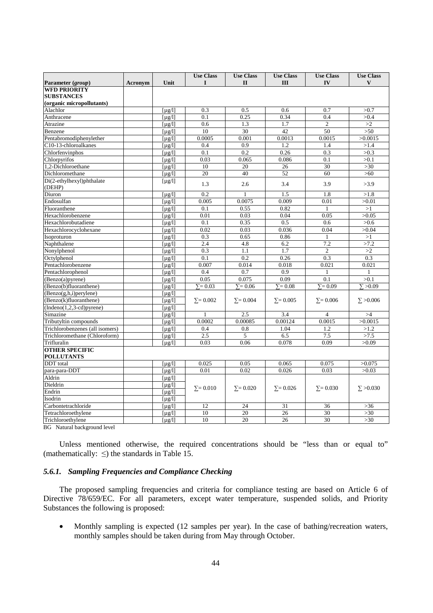|                                          |                |                                 | <b>Use Class</b> | <b>Use Class</b> | <b>Use Class</b> | <b>Use Class</b> | <b>Use Class</b> |
|------------------------------------------|----------------|---------------------------------|------------------|------------------|------------------|------------------|------------------|
| Parameter (group)<br><b>WFD PRIORITY</b> | <b>Acronym</b> | Unit                            | $\mathbf{I}$     | $\mathbf{I}$     | Ш                | IV               | V                |
| <b>SUBSTANCES</b>                        |                |                                 |                  |                  |                  |                  |                  |
| (organic micropollutants)                |                |                                 |                  |                  |                  |                  |                  |
| Alachlor                                 |                | $\left[\mu g/l\right]$          | 0.3              | 0.5              | 0.6              | 0.7              | >0.7             |
| Anthracene                               |                | $\lceil \mu g / 1 \rceil$       | 0.1              | 0.25             | 0.34             | 0.4              | >0.4             |
| Atrazine                                 |                | $\lceil \mu g / 1 \rceil$       | 0.6              | 1.3              | 1.7              | $\overline{2}$   | >2               |
| Benzene                                  |                | $\lceil \mu g / 1 \rceil$       | 10               | 30               | 42               | 50               | $>50$            |
| Pentabromodiphenylether                  |                | $\lceil \mu g / 1 \rceil$       | 0.0005           | 0.001            | 0.0013           | 0.0015           | >0.0015          |
| C10-13-chloroalkanes                     |                | $\lceil \mu g / 1 \rceil$       | 0.4              | 0.9              | 1.2              | 1.4              | >1.4             |
| Chlorfenvinphos                          |                | $\lceil \mu g / 1 \rceil$       | 0.1              | 0.2              | 0.26             | 0.3              | >0.3             |
| Chlorpyrifos                             |                | [ $\mu$ g/l]                    | 0.03             | 0.065            | 0.086            | 0.1              | >0.1             |
| 1.2-Dichloroethane                       |                | $\lceil \mu g / 1 \rceil$       | 10               | 20               | 26               | 30               | $>30$            |
| Dichloromethane                          |                | $[\mu g/l]$                     | 20               | 40               | 52               | 60               | $>60$            |
| Di(2-ethylhexyl)phthalate                |                |                                 |                  |                  |                  |                  |                  |
| (DEHP)                                   |                | [ $\mu$ g/l]                    | 1.3              | 2.6              | 3.4              | 3.9              | >3.9             |
| Diuron                                   |                | $\lceil \mu g / 1 \rceil$       | 0.2              | $\mathbf{1}$     | 1.5              | 1.8              | >1.8             |
| Endosulfan                               |                | $\lceil \mu g / 1 \rceil$       | 0.005            | 0.0075           | 0.009            | 0.01             | >0.01            |
| Fluoranthene                             |                | $\lceil \mu g / 1 \rceil$       | 0.1              | 0.55             | 0.82             | $\mathbf{1}$     | >1               |
| Hexachlorobenzene                        |                | $\lceil \mu g / 1 \rceil$       | 0.01             | 0.03             | 0.04             | 0.05             | >0.05            |
| Hexachlorobutadiene                      |                | $\lceil \mu \frac{g}{l} \rceil$ | 0.1              | 0.35             | 0.5              | 0.6              | >0.6             |
| Hexachlorocyclohexane                    |                | [u g/l]                         | 0.02             | 0.03             | 0.036            | 0.04             | >0.04            |
| Isoproturon                              |                | $\lceil \mu g / 1 \rceil$       | 0.3              | 0.65             | 0.86             | 1                | >1               |
| Naphthalene                              |                | [u g/l]                         | 2.4              | 4.8              | 6.2              | 7.2              | >7.2             |
| Nonylphenol                              |                | $\lceil \mu g / 1 \rceil$       | 0.3              | 1.1              | 1.7              | $\overline{c}$   | >2               |
| Octylphenol                              |                | [u g/l]                         | 0.1              | 0.2              | 0.26             | 0.3              | 0.3              |
| Pentachlorobenzene                       |                | $\lceil \mu g / 1 \rceil$       | 0.007            | 0.014            | 0.018            | 0.021            | 0.021            |
| Pentachlorophenol                        |                | [u g/l]                         | 0.4              | 0.7              | 0.9              |                  |                  |
| (Benzo(a)pyrene)                         |                | $\lceil \mu g / 1 \rceil$       | 0.05             | 0.075            | 0.09             | 0.1              | >0.1             |
| (Benzo(b)fluoranthene)                   |                | $\lceil \mu g / 1 \rceil$       | $\Sigma = 0.03$  | $\Sigma = 0.06$  | $\Sigma = 0.08$  | $\Sigma = 0.09$  | $\Sigma > 0.09$  |
| (Benzo(g,h,i)perylene)                   |                | $[\mu g/l]$                     |                  |                  |                  |                  |                  |
| (Benzo(k)fluoranthene)                   |                | $\lceil \mu g / 1 \rceil$       | $\Sigma = 0.002$ | $\Sigma = 0.004$ | $\Sigma = 0.005$ | $\Sigma = 0.006$ | $\Sigma > 0.006$ |
| $(Indeno(1,2,3-cd)pyrene)$               |                | $\lceil \mu g / 1 \rceil$       |                  |                  |                  |                  |                  |
| Simazine                                 |                | $[\mu g/l]$                     | 1                | 2.5              | 3.4              | $\overline{4}$   | >4               |
| Tributyltin compounds                    |                | [ $\mu$ g/l]                    | 0.0002           | 0.00085          | 0.00124          | 0.0015           | >0.0015          |
| Trichlorobenzenes (all isomers)          |                | [ $\mu$ g/l]                    | 0.4              | 0.8              | 1.04             | 1.2              | >1.2             |
| Trichloromethane (Chloroform)            |                | [ $\mu$ g/l]                    | 2.5              | 5                | 6.5              | 7.5              | >7.5             |
| Trifluralin                              |                | $\lceil \mu g / 1 \rceil$       | 0.03             | 0.06             | 0.078            | 0.09             | >0.09            |
| <b>OTHER SPECIFIC</b>                    |                |                                 |                  |                  |                  |                  |                  |
| <b>POLLUTANTS</b>                        |                |                                 |                  |                  |                  |                  |                  |
| <b>DDT</b> total                         |                | $\lceil \mu g / 1 \rceil$       | 0.025            | 0.05             | 0.065            | 0.075            | >0.075           |
| para-para-DDT                            |                | [u g/l]                         | 0.01             | 0.02             | 0.026            | 0.03             | >0.03            |
| Aldrin                                   |                | $\lceil \mu g / 1 \rceil$       |                  |                  |                  |                  |                  |
| Dieldrin                                 |                | $\lceil \mu \, g / 1 \rceil$    | $\Sigma = 0.010$ | $\Sigma = 0.020$ | $\Sigma = 0.026$ | $\Sigma = 0.030$ | $\Sigma > 0.030$ |
| Endrin                                   |                | $\lceil \mu g / 1 \rceil$       |                  |                  |                  |                  |                  |
| Isodrin                                  |                | [u g/l]                         |                  |                  |                  |                  |                  |
| Carbontetrachloride                      |                | $\lceil \mu g / 1 \rceil$       | 12               | 24               | 31               | 36               | $>36$            |
| Tetrachloroethylene                      |                | $\lceil \mu \, g / 1 \rceil$    | 10               | 20               | 26               | 30               | $>30$            |
| Trichloroethylene                        |                | $[\mu g/l]$                     | 10               | 20               | 26               | 30               | >30              |

BG Natural background level

Unless mentioned otherwise, the required concentrations should be "less than or equal to" (mathematically:  $\leq$ ) the standards in Table 15.

## *5.6.1. Sampling Frequencies and Compliance Checking*

The proposed sampling frequencies and criteria for compliance testing are based on Article 6 of Directive 78/659/EC. For all parameters, except water temperature, suspended solids, and Priority Substances the following is proposed:

• Monthly sampling is expected (12 samples per year). In the case of bathing/recreation waters, monthly samples should be taken during from May through October.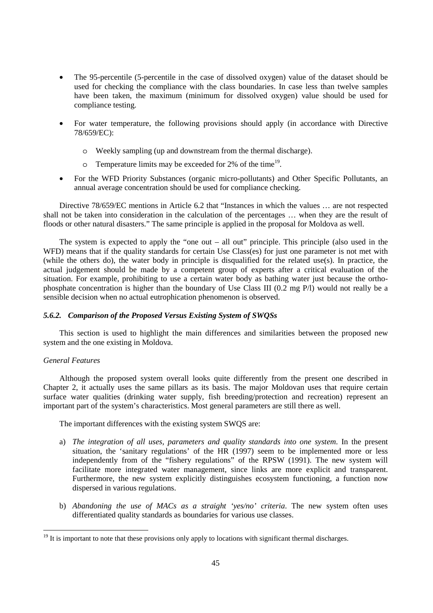- The 95-percentile (5-percentile in the case of dissolved oxygen) value of the dataset should be used for checking the compliance with the class boundaries. In case less than twelve samples have been taken, the maximum (minimum for dissolved oxygen) value should be used for compliance testing.
- For water temperature, the following provisions should apply (in accordance with Directive 78/659/EC):
	- o Weekly sampling (up and downstream from the thermal discharge).
	- $\circ$  Temperature limits may be exceeded for 2% of the time<sup>19</sup>.
- For the WFD Priority Substances (organic micro-pollutants) and Other Specific Pollutants, an annual average concentration should be used for compliance checking.

Directive 78/659/EC mentions in Article 6.2 that "Instances in which the values … are not respected shall not be taken into consideration in the calculation of the percentages … when they are the result of floods or other natural disasters." The same principle is applied in the proposal for Moldova as well.

The system is expected to apply the "one out – all out" principle. This principle (also used in the WFD) means that if the quality standards for certain Use Class(es) for just one parameter is not met with (while the others do), the water body in principle is disqualified for the related use(s). In practice, the actual judgement should be made by a competent group of experts after a critical evaluation of the situation. For example, prohibiting to use a certain water body as bathing water just because the orthophosphate concentration is higher than the boundary of Use Class III (0.2 mg P/l) would not really be a sensible decision when no actual eutrophication phenomenon is observed.

## *5.6.2. Comparison of the Proposed Versus Existing System of SWQSs*

This section is used to highlight the main differences and similarities between the proposed new system and the one existing in Moldova.

#### *General Features*

 $\ddot{\phantom{a}}$ 

Although the proposed system overall looks quite differently from the present one described in Chapter 2, it actually uses the same pillars as its basis. The major Moldovan uses that require certain surface water qualities (drinking water supply, fish breeding/protection and recreation) represent an important part of the system's characteristics. Most general parameters are still there as well.

The important differences with the existing system SWQS are:

- a) *The integration of all uses, parameters and quality standards into one system*. In the present situation, the 'sanitary regulations' of the HR (1997) seem to be implemented more or less independently from of the "fishery regulations" of the RPSW (1991). The new system will facilitate more integrated water management, since links are more explicit and transparent. Furthermore, the new system explicitly distinguishes ecosystem functioning, a function now dispersed in various regulations.
- b) *Abandoning the use of MACs as a straight 'yes/no' criteria*. The new system often uses differentiated quality standards as boundaries for various use classes.

<sup>&</sup>lt;sup>19</sup> It is important to note that these provisions only apply to locations with significant thermal discharges.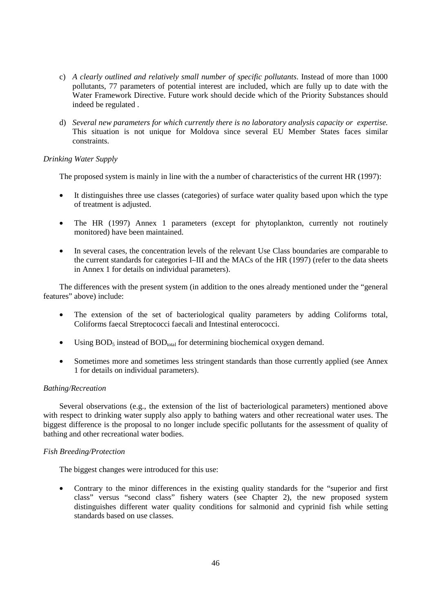- c) *A clearly outlined and relatively small number of specific pollutants*. Instead of more than 1000 pollutants, 77 parameters of potential interest are included, which are fully up to date with the Water Framework Directive. Future work should decide which of the Priority Substances should indeed be regulated .
- d) *Several new parameters for which currently there is no laboratory analysis capacity or expertise.* This situation is not unique for Moldova since several EU Member States faces similar constraints.

## *Drinking Water Supply*

The proposed system is mainly in line with the a number of characteristics of the current HR (1997):

- It distinguishes three use classes (categories) of surface water quality based upon which the type of treatment is adjusted.
- The HR (1997) Annex 1 parameters (except for phytoplankton, currently not routinely monitored) have been maintained.
- In several cases, the concentration levels of the relevant Use Class boundaries are comparable to the current standards for categories I–III and the MACs of the HR (1997) (refer to the data sheets in Annex 1 for details on individual parameters).

The differences with the present system (in addition to the ones already mentioned under the "general features" above) include:

- The extension of the set of bacteriological quality parameters by adding Coliforms total, Coliforms faecal Streptococci faecali and Intestinal enterococci.
- Using  $BOD_5$  instead of  $BOD_{total}$  for determining biochemical oxygen demand.
- Sometimes more and sometimes less stringent standards than those currently applied (see Annex 1 for details on individual parameters).

## *Bathing/Recreation*

Several observations (e.g., the extension of the list of bacteriological parameters) mentioned above with respect to drinking water supply also apply to bathing waters and other recreational water uses. The biggest difference is the proposal to no longer include specific pollutants for the assessment of quality of bathing and other recreational water bodies.

## *Fish Breeding/Protection*

The biggest changes were introduced for this use:

• Contrary to the minor differences in the existing quality standards for the "superior and first class" versus "second class" fishery waters (see Chapter 2), the new proposed system distinguishes different water quality conditions for salmonid and cyprinid fish while setting standards based on use classes.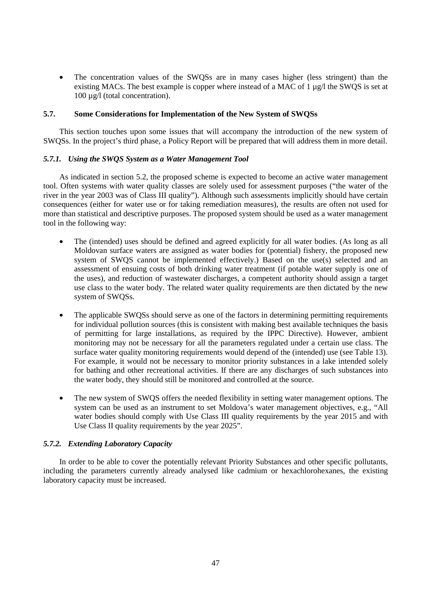• The concentration values of the SWQSs are in many cases higher (less stringent) than the existing MACs. The best example is copper where instead of a MAC of  $1 \mu g/l$  the SWQS is set at 100 µg/l (total concentration).

## **5.7. Some Considerations for Implementation of the New System of SWQSs**

This section touches upon some issues that will accompany the introduction of the new system of SWQSs. In the project's third phase, a Policy Report will be prepared that will address them in more detail.

## *5.7.1. Using the SWQS System as a Water Management Tool*

As indicated in section 5.2, the proposed scheme is expected to become an active water management tool. Often systems with water quality classes are solely used for assessment purposes ("the water of the river in the year 2003 was of Class III quality"). Although such assessments implicitly should have certain consequences (either for water use or for taking remediation measures), the results are often not used for more than statistical and descriptive purposes. The proposed system should be used as a water management tool in the following way:

- The (intended) uses should be defined and agreed explicitly for all water bodies. (As long as all Moldovan surface waters are assigned as water bodies for (potential) fishery, the proposed new system of SWOS cannot be implemented effectively.) Based on the use(s) selected and an assessment of ensuing costs of both drinking water treatment (if potable water supply is one of the uses), and reduction of wastewater discharges, a competent authority should assign a target use class to the water body. The related water quality requirements are then dictated by the new system of SWQSs.
- The applicable SWOSs should serve as one of the factors in determining permitting requirements for individual pollution sources (this is consistent with making best available techniques the basis of permitting for large installations, as required by the IPPC Directive). However, ambient monitoring may not be necessary for all the parameters regulated under a certain use class. The surface water quality monitoring requirements would depend of the (intended) use (see Table 13). For example, it would not be necessary to monitor priority substances in a lake intended solely for bathing and other recreational activities. If there are any discharges of such substances into the water body, they should still be monitored and controlled at the source.
- The new system of SWOS offers the needed flexibility in setting water management options. The system can be used as an instrument to set Moldova's water management objectives, e.g., "All water bodies should comply with Use Class III quality requirements by the year 2015 and with Use Class II quality requirements by the year 2025".

## *5.7.2. Extending Laboratory Capacity*

In order to be able to cover the potentially relevant Priority Substances and other specific pollutants, including the parameters currently already analysed like cadmium or hexachlorohexanes, the existing laboratory capacity must be increased.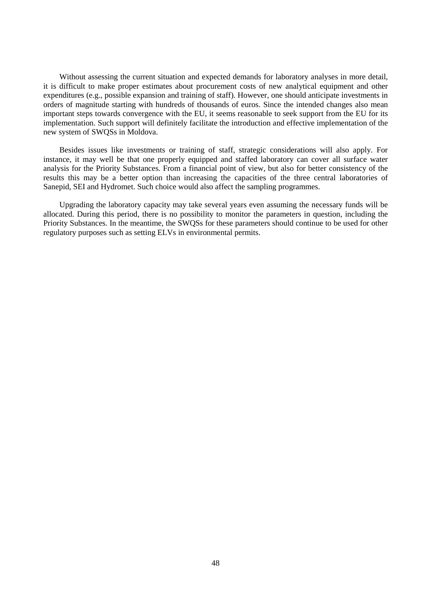Without assessing the current situation and expected demands for laboratory analyses in more detail, it is difficult to make proper estimates about procurement costs of new analytical equipment and other expenditures (e.g., possible expansion and training of staff). However, one should anticipate investments in orders of magnitude starting with hundreds of thousands of euros. Since the intended changes also mean important steps towards convergence with the EU, it seems reasonable to seek support from the EU for its implementation. Such support will definitely facilitate the introduction and effective implementation of the new system of SWQSs in Moldova.

Besides issues like investments or training of staff, strategic considerations will also apply. For instance, it may well be that one properly equipped and staffed laboratory can cover all surface water analysis for the Priority Substances. From a financial point of view, but also for better consistency of the results this may be a better option than increasing the capacities of the three central laboratories of Sanepid, SEI and Hydromet. Such choice would also affect the sampling programmes.

Upgrading the laboratory capacity may take several years even assuming the necessary funds will be allocated. During this period, there is no possibility to monitor the parameters in question, including the Priority Substances. In the meantime, the SWQSs for these parameters should continue to be used for other regulatory purposes such as setting ELVs in environmental permits.